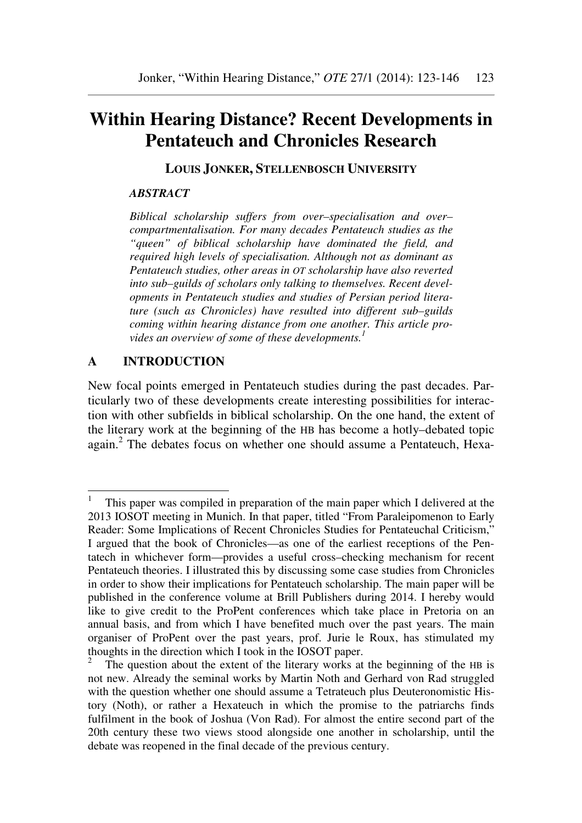# **Within Hearing Distance? Recent Developments in Pentateuch and Chronicles Research**

**LOUIS JONKER, STELLENBOSCH UNIVERSITY**

#### *ABSTRACT*

*Biblical scholarship suffers from over–specialisation and over– compartmentalisation. For many decades Pentateuch studies as the "queen" of biblical scholarship have dominated the field, and required high levels of specialisation. Although not as dominant as Pentateuch studies, other areas in OT scholarship have also reverted into sub–guilds of scholars only talking to themselves. Recent developments in Pentateuch studies and studies of Persian period literature (such as Chronicles) have resulted into different sub–guilds coming within hearing distance from one another. This article provides an overview of some of these developments.<sup>1</sup>*

#### **A INTRODUCTION**

 $\overline{a}$ 

New focal points emerged in Pentateuch studies during the past decades. Particularly two of these developments create interesting possibilities for interaction with other subfields in biblical scholarship. On the one hand, the extent of the literary work at the beginning of the HB has become a hotly–debated topic again.<sup>2</sup> The debates focus on whether one should assume a Pentateuch, Hexa-

<sup>1</sup> This paper was compiled in preparation of the main paper which I delivered at the 2013 IOSOT meeting in Munich. In that paper, titled "From Paraleipomenon to Early Reader: Some Implications of Recent Chronicles Studies for Pentateuchal Criticism," I argued that the book of Chronicles—as one of the earliest receptions of the Pentatech in whichever form—provides a useful cross–checking mechanism for recent Pentateuch theories. I illustrated this by discussing some case studies from Chronicles in order to show their implications for Pentateuch scholarship. The main paper will be published in the conference volume at Brill Publishers during 2014. I hereby would like to give credit to the ProPent conferences which take place in Pretoria on an annual basis, and from which I have benefited much over the past years. The main organiser of ProPent over the past years, prof. Jurie le Roux, has stimulated my thoughts in the direction which I took in the IOSOT paper.

<sup>2</sup> The question about the extent of the literary works at the beginning of the HB is not new. Already the seminal works by Martin Noth and Gerhard von Rad struggled with the question whether one should assume a Tetrateuch plus Deuteronomistic History (Noth), or rather a Hexateuch in which the promise to the patriarchs finds fulfilment in the book of Joshua (Von Rad). For almost the entire second part of the 20th century these two views stood alongside one another in scholarship, until the debate was reopened in the final decade of the previous century.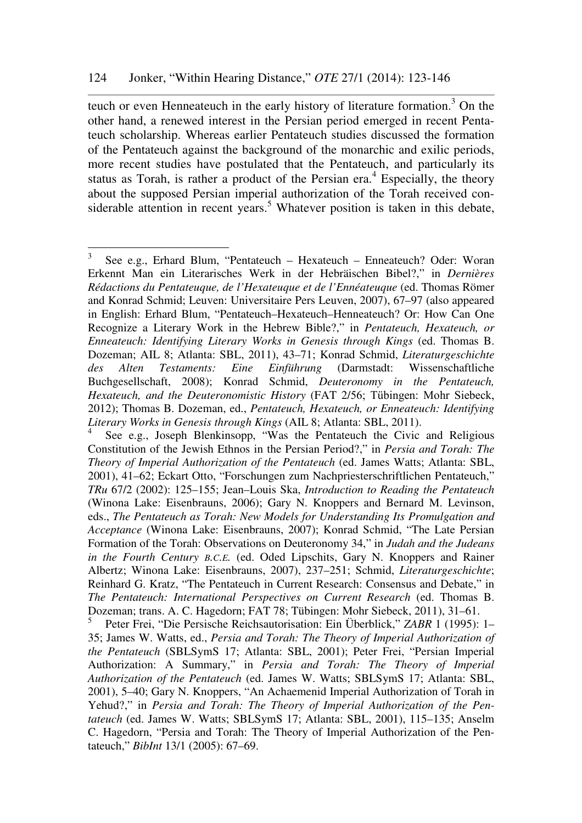teuch or even Henneateuch in the early history of literature formation.<sup>3</sup> On the other hand, a renewed interest in the Persian period emerged in recent Pentateuch scholarship. Whereas earlier Pentateuch studies discussed the formation of the Pentateuch against the background of the monarchic and exilic periods, more recent studies have postulated that the Pentateuch, and particularly its status as Torah, is rather a product of the Persian era.<sup>4</sup> Especially, the theory about the supposed Persian imperial authorization of the Torah received considerable attention in recent years.<sup>5</sup> Whatever position is taken in this debate,

 $\frac{1}{3}$  See e.g., Erhard Blum, "Pentateuch – Hexateuch – Enneateuch? Oder: Woran Erkennt Man ein Literarisches Werk in der Hebräischen Bibel?," in *Dernières Rédactions du Pentateuque, de l'Hexateuque et de l'Ennéateuque* (ed. Thomas Römer and Konrad Schmid; Leuven: Universitaire Pers Leuven, 2007), 67–97 (also appeared in English: Erhard Blum, "Pentateuch–Hexateuch–Henneateuch? Or: How Can One Recognize a Literary Work in the Hebrew Bible?," in *Pentateuch, Hexateuch, or Enneateuch: Identifying Literary Works in Genesis through Kings* (ed. Thomas B. Dozeman; AIL 8; Atlanta: SBL, 2011), 43–71; Konrad Schmid, *Literaturgeschichte des Alten Testaments: Eine Einführung* (Darmstadt: Wissenschaftliche Buchgesellschaft, 2008); Konrad Schmid, *Deuteronomy in the Pentateuch, Hexateuch, and the Deuteronomistic History* (FAT 2/56; Tübingen: Mohr Siebeck, 2012); Thomas B. Dozeman, ed., *Pentateuch, Hexateuch, or Enneateuch: Identifying Literary Works in Genesis through Kings* (AIL 8; Atlanta: SBL, 2011).

<sup>4</sup> See e.g., Joseph Blenkinsopp, "Was the Pentateuch the Civic and Religious Constitution of the Jewish Ethnos in the Persian Period?," in *Persia and Torah: The Theory of Imperial Authorization of the Pentateuch* (ed. James Watts; Atlanta: SBL, 2001), 41–62; Eckart Otto, "Forschungen zum Nachpriesterschriftlichen Pentateuch," *TRu* 67/2 (2002): 125–155; Jean–Louis Ska, *Introduction to Reading the Pentateuch* (Winona Lake: Eisenbrauns, 2006); Gary N. Knoppers and Bernard M. Levinson, eds., *The Pentateuch as Torah: New Models for Understanding Its Promulgation and Acceptance* (Winona Lake: Eisenbrauns, 2007); Konrad Schmid, "The Late Persian Formation of the Torah: Observations on Deuteronomy 34," in *Judah and the Judeans in the Fourth Century B.C.E.* (ed. Oded Lipschits, Gary N. Knoppers and Rainer Albertz; Winona Lake: Eisenbrauns, 2007), 237–251; Schmid, *Literaturgeschichte*; Reinhard G. Kratz, "The Pentateuch in Current Research: Consensus and Debate," in *The Pentateuch: International Perspectives on Current Research* (ed. Thomas B. Dozeman; trans. A. C. Hagedorn; FAT 78; Tübingen: Mohr Siebeck, 2011), 31–61.

<sup>5</sup> Peter Frei, "Die Persische Reichsautorisation: Ein Überblick," *ZABR* 1 (1995): 1– 35; James W. Watts, ed., *Persia and Torah: The Theory of Imperial Authorization of the Pentateuch* (SBLSymS 17; Atlanta: SBL, 2001); Peter Frei, "Persian Imperial Authorization: A Summary," in *Persia and Torah: The Theory of Imperial Authorization of the Pentateuch* (ed. James W. Watts; SBLSymS 17; Atlanta: SBL, 2001), 5–40; Gary N. Knoppers, "An Achaemenid Imperial Authorization of Torah in Yehud?," in *Persia and Torah: The Theory of Imperial Authorization of the Pentateuch* (ed. James W. Watts; SBLSymS 17; Atlanta: SBL, 2001), 115–135; Anselm C. Hagedorn, "Persia and Torah: The Theory of Imperial Authorization of the Pentateuch," *BibInt* 13/1 (2005): 67–69.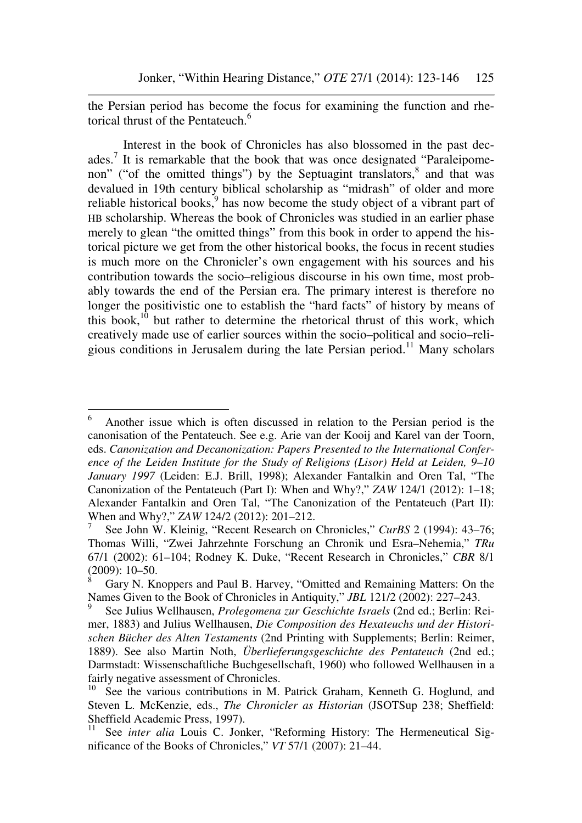the Persian period has become the focus for examining the function and rhetorical thrust of the Pentateuch.<sup>6</sup>

Interest in the book of Chronicles has also blossomed in the past decades.<sup>7</sup> It is remarkable that the book that was once designated "Paraleipomenon" ("of the omitted things") by the Septuagint translators,<sup>8</sup> and that was devalued in 19th century biblical scholarship as "midrash" of older and more reliable historical books, $9$  has now become the study object of a vibrant part of HB scholarship. Whereas the book of Chronicles was studied in an earlier phase merely to glean "the omitted things" from this book in order to append the historical picture we get from the other historical books, the focus in recent studies is much more on the Chronicler's own engagement with his sources and his contribution towards the socio–religious discourse in his own time, most probably towards the end of the Persian era. The primary interest is therefore no longer the positivistic one to establish the "hard facts" of history by means of this book, $10$  but rather to determine the rhetorical thrust of this work, which creatively made use of earlier sources within the socio–political and socio–religious conditions in Jerusalem during the late Persian period.<sup>11</sup> Many scholars

<sup>6</sup> Another issue which is often discussed in relation to the Persian period is the canonisation of the Pentateuch. See e.g. Arie van der Kooij and Karel van der Toorn, eds. *Canonization and Decanonization: Papers Presented to the International Conference of the Leiden Institute for the Study of Religions (Lisor) Held at Leiden, 9–10 January 1997* (Leiden: E.J. Brill, 1998); Alexander Fantalkin and Oren Tal, "The Canonization of the Pentateuch (Part I): When and Why?," *ZAW* 124/1 (2012): 1–18; Alexander Fantalkin and Oren Tal, "The Canonization of the Pentateuch (Part II): When and Why?," *ZAW* 124/2 (2012): 201–212.

<sup>7</sup> See John W. Kleinig, "Recent Research on Chronicles," *CurBS* 2 (1994): 43–76; Thomas Willi, "Zwei Jahrzehnte Forschung an Chronik und Esra–Nehemia," *TRu* 67/1 (2002): 61–104; Rodney K. Duke, "Recent Research in Chronicles," *CBR* 8/1 (2009): 10–50.

<sup>8</sup> Gary N. Knoppers and Paul B. Harvey, "Omitted and Remaining Matters: On the Names Given to the Book of Chronicles in Antiquity," *JBL* 121/2 (2002): 227–243.

<sup>9</sup> See Julius Wellhausen, *Prolegomena zur Geschichte Israels* (2nd ed.; Berlin: Reimer, 1883) and Julius Wellhausen, *Die Composition des Hexateuchs und der Historischen Bücher des Alten Testaments* (2nd Printing with Supplements; Berlin: Reimer, 1889). See also Martin Noth, *Überlieferungsgeschichte des Pentateuch* (2nd ed.; Darmstadt: Wissenschaftliche Buchgesellschaft, 1960) who followed Wellhausen in a fairly negative assessment of Chronicles.

<sup>&</sup>lt;sup>10</sup> See the various contributions in M. Patrick Graham, Kenneth G. Hoglund, and Steven L. McKenzie, eds., *The Chronicler as Historian* (JSOTSup 238; Sheffield: Sheffield Academic Press, 1997).

<sup>&</sup>lt;sup>11</sup> See *inter alia* Louis C. Jonker, "Reforming History: The Hermeneutical Significance of the Books of Chronicles," *VT* 57/1 (2007): 21–44.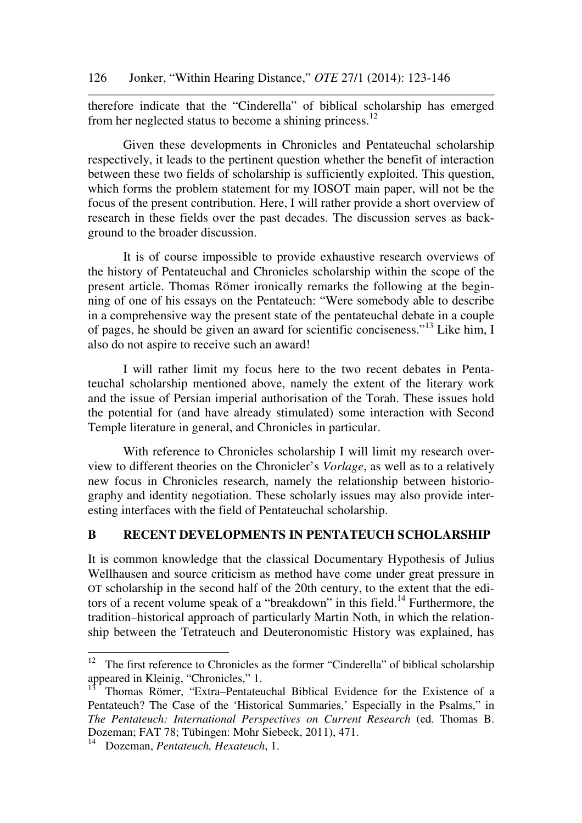therefore indicate that the "Cinderella" of biblical scholarship has emerged from her neglected status to become a shining princess.<sup>12</sup>

Given these developments in Chronicles and Pentateuchal scholarship respectively, it leads to the pertinent question whether the benefit of interaction between these two fields of scholarship is sufficiently exploited. This question, which forms the problem statement for my IOSOT main paper, will not be the focus of the present contribution. Here, I will rather provide a short overview of research in these fields over the past decades. The discussion serves as background to the broader discussion.

It is of course impossible to provide exhaustive research overviews of the history of Pentateuchal and Chronicles scholarship within the scope of the present article. Thomas Römer ironically remarks the following at the beginning of one of his essays on the Pentateuch: "Were somebody able to describe in a comprehensive way the present state of the pentateuchal debate in a couple of pages, he should be given an award for scientific conciseness."<sup>13</sup> Like him, I also do not aspire to receive such an award!

I will rather limit my focus here to the two recent debates in Pentateuchal scholarship mentioned above, namely the extent of the literary work and the issue of Persian imperial authorisation of the Torah. These issues hold the potential for (and have already stimulated) some interaction with Second Temple literature in general, and Chronicles in particular.

With reference to Chronicles scholarship I will limit my research overview to different theories on the Chronicler's *Vorlage*, as well as to a relatively new focus in Chronicles research, namely the relationship between historiography and identity negotiation. These scholarly issues may also provide interesting interfaces with the field of Pentateuchal scholarship.

## **B RECENT DEVELOPMENTS IN PENTATEUCH SCHOLARSHIP**

It is common knowledge that the classical Documentary Hypothesis of Julius Wellhausen and source criticism as method have come under great pressure in OT scholarship in the second half of the 20th century, to the extent that the editors of a recent volume speak of a "breakdown" in this field.<sup>14</sup> Furthermore, the tradition–historical approach of particularly Martin Noth, in which the relationship between the Tetrateuch and Deuteronomistic History was explained, has

<sup>12</sup> The first reference to Chronicles as the former "Cinderella" of biblical scholarship appeared in Kleinig, "Chronicles," 1.

<sup>13</sup> Thomas Römer, "Extra–Pentateuchal Biblical Evidence for the Existence of a Pentateuch? The Case of the 'Historical Summaries,' Especially in the Psalms," in *The Pentateuch: International Perspectives on Current Research* (ed. Thomas B. Dozeman; FAT 78; Tübingen: Mohr Siebeck, 2011), 471.

<sup>14</sup> Dozeman, *Pentateuch, Hexateuch*, 1.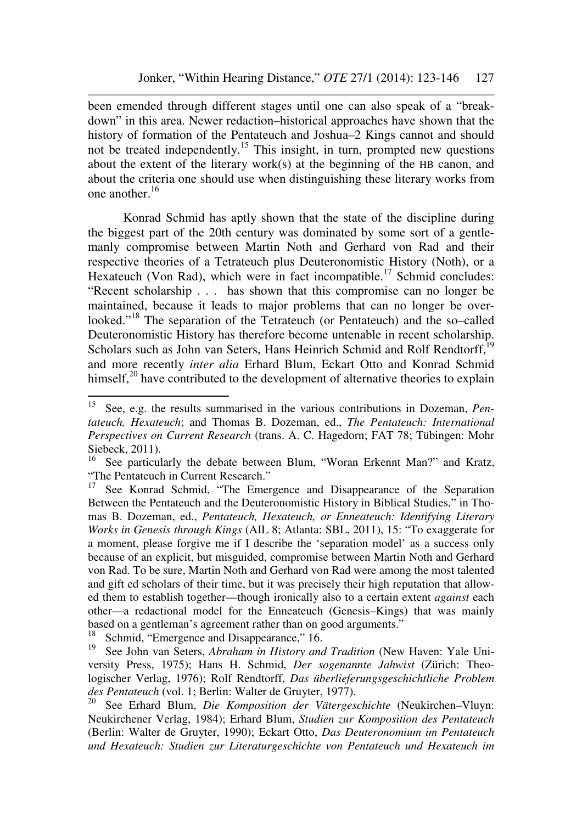been emended through different stages until one can also speak of a "breakdown" in this area. Newer redaction–historical approaches have shown that the history of formation of the Pentateuch and Joshua–2 Kings cannot and should not be treated independently.<sup>15</sup> This insight, in turn, prompted new questions about the extent of the literary work(s) at the beginning of the HB canon, and about the criteria one should use when distinguishing these literary works from one another.<sup>16</sup>

Konrad Schmid has aptly shown that the state of the discipline during the biggest part of the 20th century was dominated by some sort of a gentlemanly compromise between Martin Noth and Gerhard von Rad and their respective theories of a Tetrateuch plus Deuteronomistic History (Noth), or a Hexateuch (Von Rad), which were in fact incompatible.<sup>17</sup> Schmid concludes: "Recent scholarship . . . has shown that this compromise can no longer be maintained, because it leads to major problems that can no longer be overlooked."<sup>18</sup> The separation of the Tetrateuch (or Pentateuch) and the so–called Deuteronomistic History has therefore become untenable in recent scholarship. Scholars such as John van Seters, Hans Heinrich Schmid and Rolf Rendtorff,<sup>19</sup> and more recently *inter alia* Erhard Blum, Eckart Otto and Konrad Schmid himself, $^{20}$  have contributed to the development of alternative theories to explain

<sup>15</sup> <sup>15</sup> See, e.g. the results summarised in the various contributions in Dozeman, *Pentateuch, Hexateuch*; and Thomas B. Dozeman, ed., *The Pentateuch: International Perspectives on Current Research* (trans. A. C. Hagedorn; FAT 78; Tübingen: Mohr Siebeck, 2011).

<sup>&</sup>lt;sup>16</sup> See particularly the debate between Blum, "Woran Erkennt Man?" and Kratz, "The Pentateuch in Current Research."

<sup>&</sup>lt;sup>17</sup> See Konrad Schmid, "The Emergence and Disappearance of the Separation Between the Pentateuch and the Deuteronomistic History in Biblical Studies," in Thomas B. Dozeman, ed., *Pentateuch, Hexateuch, or Enneateuch: Identifying Literary Works in Genesis through Kings* (AIL 8; Atlanta: SBL, 2011), 15: "To exaggerate for a moment, please forgive me if I describe the 'separation model' as a success only because of an explicit, but misguided, compromise between Martin Noth and Gerhard von Rad. To be sure, Martin Noth and Gerhard von Rad were among the most talented and gift ed scholars of their time, but it was precisely their high reputation that allowed them to establish together—though ironically also to a certain extent *against* each other—a redactional model for the Enneateuch (Genesis–Kings) that was mainly based on a gentleman's agreement rather than on good arguments."

<sup>&</sup>lt;sup>18</sup> Schmid, "Emergence and Disappearance," 16.

<sup>19</sup> See John van Seters, *Abraham in History and Tradition* (New Haven: Yale University Press, 1975); Hans H. Schmid, *Der sogenannte Jahwist* (Zürich: Theologischer Verlag, 1976); Rolf Rendtorff, *Das überlieferungsgeschichtliche Problem des Pentateuch* (vol. 1; Berlin: Walter de Gruyter, 1977).

<sup>20</sup> See Erhard Blum, *Die Komposition der Vätergeschichte* (Neukirchen–Vluyn: Neukirchener Verlag, 1984); Erhard Blum, *Studien zur Komposition des Pentateuch* (Berlin: Walter de Gruyter, 1990); Eckart Otto, *Das Deuteronomium im Pentateuch und Hexateuch: Studien zur Literaturgeschichte von Pentateuch und Hexateuch im*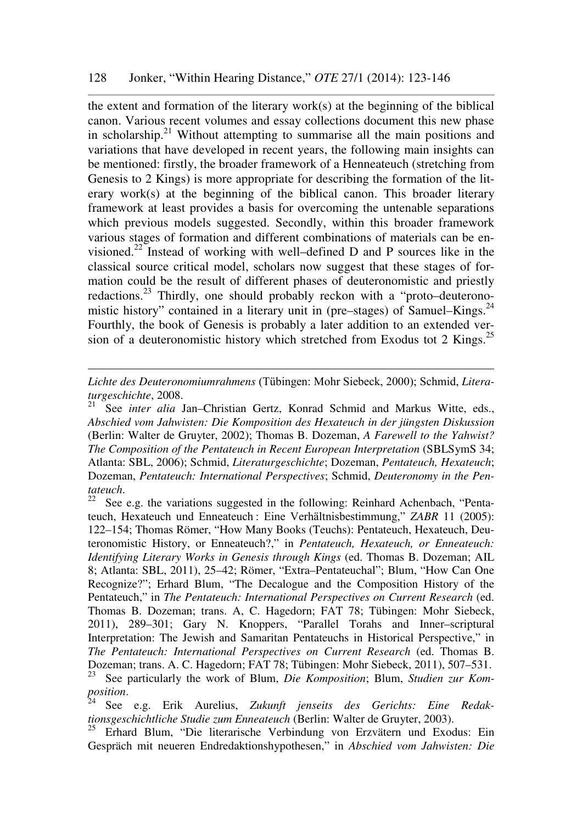the extent and formation of the literary work(s) at the beginning of the biblical canon. Various recent volumes and essay collections document this new phase in scholarship.<sup>21</sup> Without attempting to summarise all the main positions and variations that have developed in recent years, the following main insights can be mentioned: firstly, the broader framework of a Henneateuch (stretching from Genesis to 2 Kings) is more appropriate for describing the formation of the literary work(s) at the beginning of the biblical canon. This broader literary framework at least provides a basis for overcoming the untenable separations which previous models suggested. Secondly, within this broader framework various stages of formation and different combinations of materials can be envisioned.<sup>22</sup> Instead of working with well–defined D and P sources like in the classical source critical model, scholars now suggest that these stages of formation could be the result of different phases of deuteronomistic and priestly redactions.<sup>23</sup> Thirdly, one should probably reckon with a "proto–deuteronomistic history" contained in a literary unit in (pre–stages) of Samuel–Kings.<sup>24</sup> Fourthly, the book of Genesis is probably a later addition to an extended version of a deuteronomistic history which stretched from Exodus tot 2 Kings.<sup>25</sup>

*Lichte des Deuteronomiumrahmens* (Tübingen: Mohr Siebeck, 2000); Schmid, *Literaturgeschichte*, 2008.

<sup>21</sup> See *inter alia* Jan–Christian Gertz, Konrad Schmid and Markus Witte, eds., *Abschied vom Jahwisten: Die Komposition des Hexateuch in der jüngsten Diskussion* (Berlin: Walter de Gruyter, 2002); Thomas B. Dozeman, *A Farewell to the Yahwist? The Composition of the Pentateuch in Recent European Interpretation* (SBLSymS 34; Atlanta: SBL, 2006); Schmid, *Literaturgeschichte*; Dozeman, *Pentateuch, Hexateuch*; Dozeman, *Pentateuch: International Perspectives*; Schmid, *Deuteronomy in the Pentateuch*.

See e.g. the variations suggested in the following: Reinhard Achenbach, "Pentateuch, Hexateuch und Enneateuch : Eine Verhältnisbestimmung," *ZABR* 11 (2005): 122–154; Thomas Römer, "How Many Books (Teuchs): Pentateuch, Hexateuch, Deuteronomistic History, or Enneateuch?," in *Pentateuch, Hexateuch, or Enneateuch: Identifying Literary Works in Genesis through Kings* (ed. Thomas B. Dozeman; AIL 8; Atlanta: SBL, 2011), 25–42; Römer, "Extra–Pentateuchal"; Blum, "How Can One Recognize?"; Erhard Blum, "The Decalogue and the Composition History of the Pentateuch," in *The Pentateuch: International Perspectives on Current Research* (ed. Thomas B. Dozeman; trans. A, C. Hagedorn; FAT 78; Tübingen: Mohr Siebeck, 2011), 289–301; Gary N. Knoppers, "Parallel Torahs and Inner–scriptural Interpretation: The Jewish and Samaritan Pentateuchs in Historical Perspective," in *The Pentateuch: International Perspectives on Current Research* (ed. Thomas B. Dozeman; trans. A. C. Hagedorn; FAT 78; Tübingen: Mohr Siebeck, 2011), 507–531. See particularly the work of Blum, *Die Komposition*; Blum, *Studien zur Komposition*.

<sup>24</sup> See e.g. Erik Aurelius, *Zukunft jenseits des Gerichts: Eine Redaktionsgeschichtliche Studie zum Enneateuch* (Berlin: Walter de Gruyter, 2003).

<sup>&</sup>lt;sup>25</sup> Erhard Blum, "Die literarische Verbindung von Erzvätern und Exodus: Ein Gespräch mit neueren Endredaktionshypothesen," in *Abschied vom Jahwisten: Die*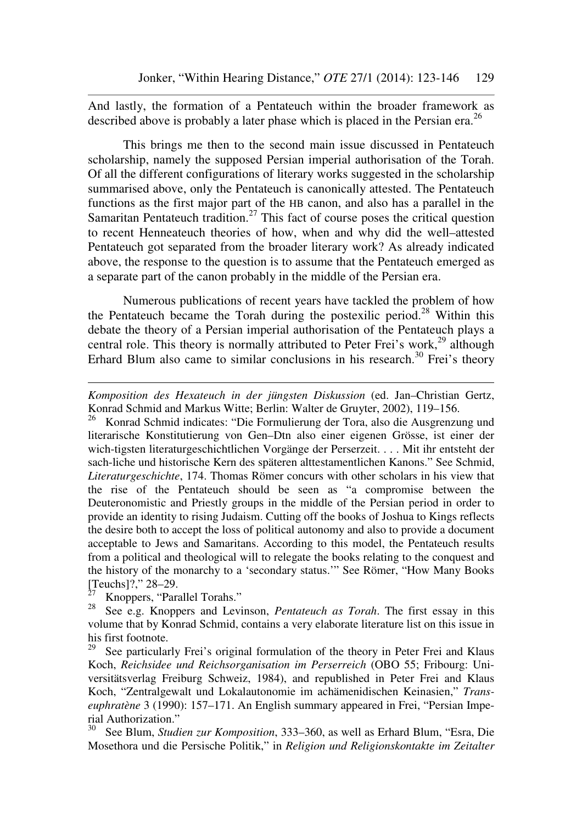And lastly, the formation of a Pentateuch within the broader framework as described above is probably a later phase which is placed in the Persian era.<sup>26</sup>

This brings me then to the second main issue discussed in Pentateuch scholarship, namely the supposed Persian imperial authorisation of the Torah. Of all the different configurations of literary works suggested in the scholarship summarised above, only the Pentateuch is canonically attested. The Pentateuch functions as the first major part of the HB canon, and also has a parallel in the Samaritan Pentateuch tradition.<sup>27</sup> This fact of course poses the critical question to recent Henneateuch theories of how, when and why did the well–attested Pentateuch got separated from the broader literary work? As already indicated above, the response to the question is to assume that the Pentateuch emerged as a separate part of the canon probably in the middle of the Persian era.

Numerous publications of recent years have tackled the problem of how the Pentateuch became the Torah during the postexilic period.<sup>28</sup> Within this debate the theory of a Persian imperial authorisation of the Pentateuch plays a central role. This theory is normally attributed to Peter Frei's work,<sup>29</sup> although Erhard Blum also came to similar conclusions in his research.<sup>30</sup> Frei's theory

<sup>26</sup> Konrad Schmid indicates: "Die Formulierung der Tora, also die Ausgrenzung und literarische Konstitutierung von Gen–Dtn also einer eigenen Grösse, ist einer der wich-tigsten literaturgeschichtlichen Vorgänge der Perserzeit. . . . Mit ihr entsteht der sach-liche und historische Kern des späteren alttestamentlichen Kanons." See Schmid, *Literaturgeschichte*, 174. Thomas Römer concurs with other scholars in his view that the rise of the Pentateuch should be seen as "a compromise between the Deuteronomistic and Priestly groups in the middle of the Persian period in order to provide an identity to rising Judaism. Cutting off the books of Joshua to Kings reflects the desire both to accept the loss of political autonomy and also to provide a document acceptable to Jews and Samaritans. According to this model, the Pentateuch results from a political and theological will to relegate the books relating to the conquest and the history of the monarchy to a 'secondary status.'" See Römer, "How Many Books [Teuchs]?,"  $28-29$ .<br> $^{27}$  Knoppers "Pars

 $\frac{27}{28}$  Knoppers, "Parallel Torahs."

 $\overline{a}$ 

<sup>28</sup> See e.g. Knoppers and Levinson, *Pentateuch as Torah*. The first essay in this volume that by Konrad Schmid, contains a very elaborate literature list on this issue in his first footnote.<br> $^{29}$  See particular

See particularly Frei's original formulation of the theory in Peter Frei and Klaus Koch, *Reichsidee und Reichsorganisation im Perserreich* (OBO 55; Fribourg: Universitätsverlag Freiburg Schweiz, 1984), and republished in Peter Frei and Klaus Koch, "Zentralgewalt und Lokalautonomie im achämenidischen Keinasien," *Transeuphratène* 3 (1990): 157–171. An English summary appeared in Frei, "Persian Imperial Authorization."

<sup>30</sup> See Blum, *Studien zur Komposition*, 333–360, as well as Erhard Blum, "Esra, Die Mosethora und die Persische Politik," in *Religion und Religionskontakte im Zeitalter* 

*Komposition des Hexateuch in der jüngsten Diskussion* (ed. Jan–Christian Gertz, Konrad Schmid and Markus Witte; Berlin: Walter de Gruyter, 2002), 119–156.<br><sup>26</sup> Konrad Schmid indicates: "Die Formulierung der Tora also die Ausgrenzu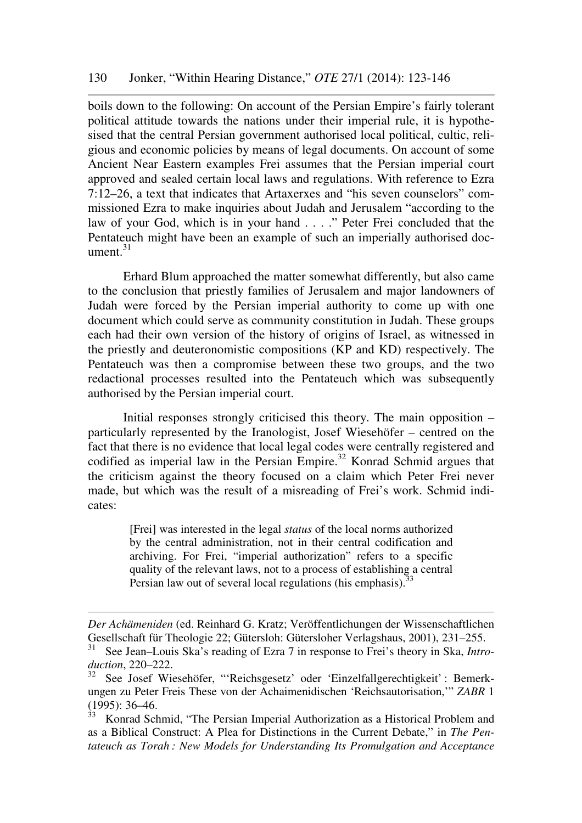boils down to the following: On account of the Persian Empire's fairly tolerant political attitude towards the nations under their imperial rule, it is hypothesised that the central Persian government authorised local political, cultic, religious and economic policies by means of legal documents. On account of some Ancient Near Eastern examples Frei assumes that the Persian imperial court approved and sealed certain local laws and regulations. With reference to Ezra 7:12–26, a text that indicates that Artaxerxes and "his seven counselors" commissioned Ezra to make inquiries about Judah and Jerusalem "according to the law of your God, which is in your hand . . . ." Peter Frei concluded that the Pentateuch might have been an example of such an imperially authorised document. $31$ 

Erhard Blum approached the matter somewhat differently, but also came to the conclusion that priestly families of Jerusalem and major landowners of Judah were forced by the Persian imperial authority to come up with one document which could serve as community constitution in Judah. These groups each had their own version of the history of origins of Israel, as witnessed in the priestly and deuteronomistic compositions (KP and KD) respectively. The Pentateuch was then a compromise between these two groups, and the two redactional processes resulted into the Pentateuch which was subsequently authorised by the Persian imperial court.

Initial responses strongly criticised this theory. The main opposition – particularly represented by the Iranologist, Josef Wiesehöfer – centred on the fact that there is no evidence that local legal codes were centrally registered and codified as imperial law in the Persian Empire.<sup>32</sup> Konrad Schmid argues that the criticism against the theory focused on a claim which Peter Frei never made, but which was the result of a misreading of Frei's work. Schmid indicates:

> [Frei] was interested in the legal *status* of the local norms authorized by the central administration, not in their central codification and archiving. For Frei, "imperial authorization" refers to a specific quality of the relevant laws, not to a process of establishing a central Persian law out of several local regulations (his emphasis).  $33$

*Der Achämeniden* (ed. Reinhard G. Kratz; Veröffentlichungen der Wissenschaftlichen Gesellschaft für Theologie 22; Gütersloh: Gütersloher Verlagshaus, 2001), 231–255.<br><sup>31</sup> See Jean Jouis Skole reading of Egre 7 in reappres to Freile theory in Sko. Intro

See Jean–Louis Ska's reading of Ezra 7 in response to Frei's theory in Ska, *Introduction*, 220–222.

<sup>32</sup> See Josef Wiesehöfer, "'Reichsgesetz' oder 'Einzelfallgerechtigkeit' : Bemerkungen zu Peter Freis These von der Achaimenidischen 'Reichsautorisation,'" *ZABR* 1 (1995): 36–46.

<sup>33</sup> Konrad Schmid, "The Persian Imperial Authorization as a Historical Problem and as a Biblical Construct: A Plea for Distinctions in the Current Debate," in *The Pentateuch as Torah : New Models for Understanding Its Promulgation and Acceptance*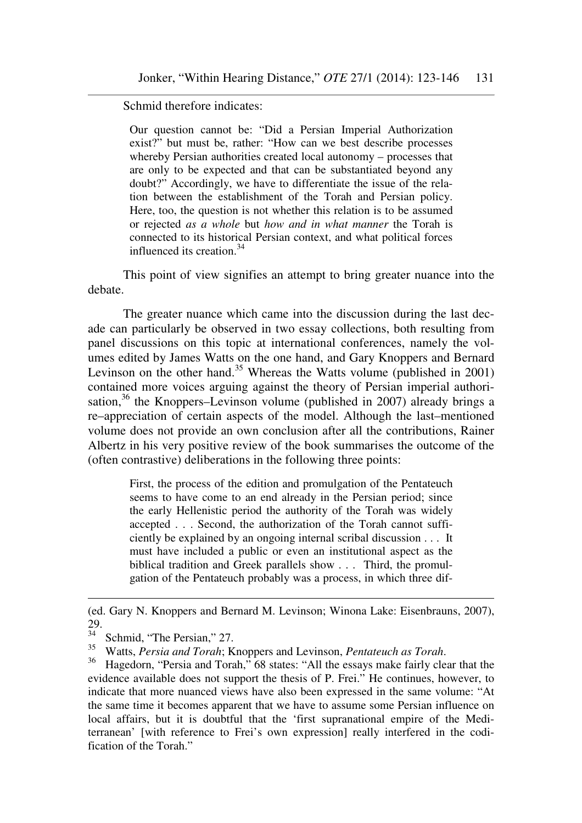Schmid therefore indicates:

Our question cannot be: "Did a Persian Imperial Authorization exist?" but must be, rather: "How can we best describe processes whereby Persian authorities created local autonomy – processes that are only to be expected and that can be substantiated beyond any doubt?" Accordingly, we have to differentiate the issue of the relation between the establishment of the Torah and Persian policy. Here, too, the question is not whether this relation is to be assumed or rejected *as a whole* but *how and in what manner* the Torah is connected to its historical Persian context, and what political forces influenced its creation.<sup>34</sup>

This point of view signifies an attempt to bring greater nuance into the debate.

The greater nuance which came into the discussion during the last decade can particularly be observed in two essay collections, both resulting from panel discussions on this topic at international conferences, namely the volumes edited by James Watts on the one hand, and Gary Knoppers and Bernard Levinson on the other hand.<sup>35</sup> Whereas the Watts volume (published in 2001) contained more voices arguing against the theory of Persian imperial authorisation,<sup>36</sup> the Knoppers–Levinson volume (published in 2007) already brings a re–appreciation of certain aspects of the model. Although the last–mentioned volume does not provide an own conclusion after all the contributions, Rainer Albertz in his very positive review of the book summarises the outcome of the (often contrastive) deliberations in the following three points:

> First, the process of the edition and promulgation of the Pentateuch seems to have come to an end already in the Persian period; since the early Hellenistic period the authority of the Torah was widely accepted . . . Second, the authorization of the Torah cannot sufficiently be explained by an ongoing internal scribal discussion . . . It must have included a public or even an institutional aspect as the biblical tradition and Greek parallels show . . . Third, the promulgation of the Pentateuch probably was a process, in which three dif-

<sup>(</sup>ed. Gary N. Knoppers and Bernard M. Levinson; Winona Lake: Eisenbrauns, 2007), 29.

Schmid, "The Persian," 27.

<sup>&</sup>lt;sup>35</sup> Watts, *Persia and Torah*; Knoppers and Levinson, *Pentateuch as Torah*.<br><sup>36</sup> Hogodom "Persia and Torah" 68 states: "All the essays make fairly clea

Hagedorn, "Persia and Torah," 68 states: "All the essays make fairly clear that the evidence available does not support the thesis of P. Frei." He continues, however, to indicate that more nuanced views have also been expressed in the same volume: "At the same time it becomes apparent that we have to assume some Persian influence on local affairs, but it is doubtful that the 'first supranational empire of the Mediterranean' [with reference to Frei's own expression] really interfered in the codification of the Torah."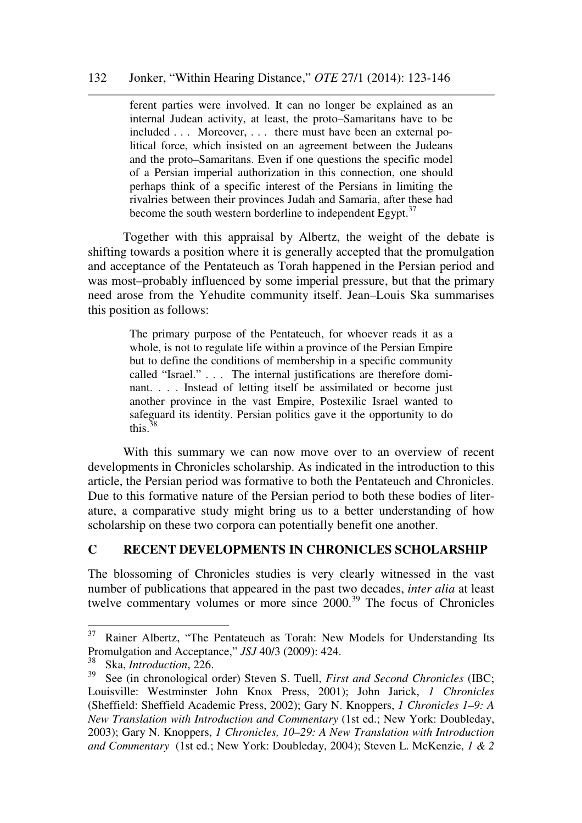ferent parties were involved. It can no longer be explained as an internal Judean activity, at least, the proto–Samaritans have to be included . . . Moreover, . . . there must have been an external political force, which insisted on an agreement between the Judeans and the proto–Samaritans. Even if one questions the specific model of a Persian imperial authorization in this connection, one should perhaps think of a specific interest of the Persians in limiting the rivalries between their provinces Judah and Samaria, after these had become the south western borderline to independent Egypt. $37$ 

Together with this appraisal by Albertz, the weight of the debate is shifting towards a position where it is generally accepted that the promulgation and acceptance of the Pentateuch as Torah happened in the Persian period and was most–probably influenced by some imperial pressure, but that the primary need arose from the Yehudite community itself. Jean–Louis Ska summarises this position as follows:

> The primary purpose of the Pentateuch, for whoever reads it as a whole, is not to regulate life within a province of the Persian Empire but to define the conditions of membership in a specific community called "Israel." . . . The internal justifications are therefore dominant. . . . Instead of letting itself be assimilated or become just another province in the vast Empire, Postexilic Israel wanted to safeguard its identity. Persian politics gave it the opportunity to do this. $38$

With this summary we can now move over to an overview of recent developments in Chronicles scholarship. As indicated in the introduction to this article, the Persian period was formative to both the Pentateuch and Chronicles. Due to this formative nature of the Persian period to both these bodies of literature, a comparative study might bring us to a better understanding of how scholarship on these two corpora can potentially benefit one another.

# **C RECENT DEVELOPMENTS IN CHRONICLES SCHOLARSHIP**

The blossoming of Chronicles studies is very clearly witnessed in the vast number of publications that appeared in the past two decades, *inter alia* at least twelve commentary volumes or more since 2000.<sup>39</sup> The focus of Chronicles

<sup>&</sup>lt;sup>37</sup> Rainer Albertz, "The Pentateuch as Torah: New Models for Understanding Its Promulgation and Acceptance," *JSJ* 40/3 (2009): 424.

<sup>38</sup> Ska, *Introduction*, 226.

<sup>39</sup> See (in chronological order) Steven S. Tuell, *First and Second Chronicles* (IBC; Louisville: Westminster John Knox Press, 2001); John Jarick, *1 Chronicles* (Sheffield: Sheffield Academic Press, 2002); Gary N. Knoppers, *1 Chronicles 1–9: A New Translation with Introduction and Commentary* (1st ed.; New York: Doubleday, 2003); Gary N. Knoppers, *1 Chronicles, 10–29: A New Translation with Introduction and Commentary* (1st ed.; New York: Doubleday, 2004); Steven L. McKenzie, *1 & 2*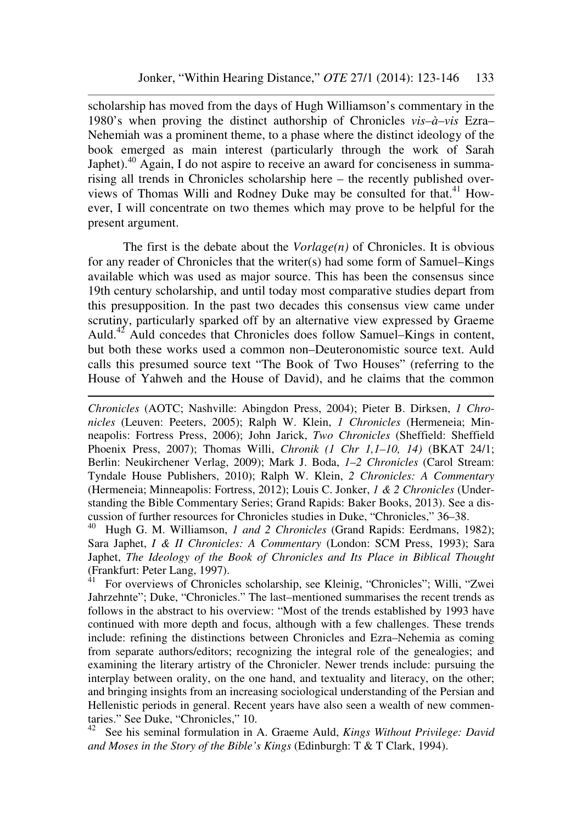scholarship has moved from the days of Hugh Williamson's commentary in the 1980's when proving the distinct authorship of Chronicles *vis–à–vis* Ezra– Nehemiah was a prominent theme, to a phase where the distinct ideology of the book emerged as main interest (particularly through the work of Sarah Japhet).<sup>40</sup> Again, I do not aspire to receive an award for conciseness in summarising all trends in Chronicles scholarship here – the recently published overviews of Thomas Willi and Rodney Duke may be consulted for that.<sup>41</sup> However, I will concentrate on two themes which may prove to be helpful for the present argument.

The first is the debate about the *Vorlage(n)* of Chronicles. It is obvious for any reader of Chronicles that the writer(s) had some form of Samuel–Kings available which was used as major source. This has been the consensus since 19th century scholarship, and until today most comparative studies depart from this presupposition. In the past two decades this consensus view came under scrutiny, particularly sparked off by an alternative view expressed by Graeme Auld.<sup>42</sup> Auld concedes that Chronicles does follow Samuel–Kings in content, but both these works used a common non–Deuteronomistic source text. Auld calls this presumed source text "The Book of Two Houses" (referring to the House of Yahweh and the House of David), and he claims that the common

*Chronicles* (AOTC; Nashville: Abingdon Press, 2004); Pieter B. Dirksen, *1 Chronicles* (Leuven: Peeters, 2005); Ralph W. Klein, *1 Chronicles* (Hermeneia; Minneapolis: Fortress Press, 2006); John Jarick, *Two Chronicles* (Sheffield: Sheffield Phoenix Press, 2007); Thomas Willi, *Chronik (1 Chr 1,1–10, 14)* (BKAT 24/1; Berlin: Neukirchener Verlag, 2009); Mark J. Boda, *1–2 Chronicles* (Carol Stream: Tyndale House Publishers, 2010); Ralph W. Klein, *2 Chronicles: A Commentary* (Hermeneia; Minneapolis: Fortress, 2012); Louis C. Jonker, *1 & 2 Chronicles* (Understanding the Bible Commentary Series; Grand Rapids: Baker Books, 2013). See a discussion of further resources for Chronicles studies in Duke, "Chronicles," 36–38.

 $\overline{a}$ 

<sup>40</sup> Hugh G. M. Williamson, *1 and 2 Chronicles* (Grand Rapids: Eerdmans, 1982); Sara Japhet, *I & II Chronicles: A Commentary* (London: SCM Press, 1993); Sara Japhet, *The Ideology of the Book of Chronicles and Its Place in Biblical Thought* (Frankfurt: Peter Lang, 1997).

<sup>41</sup> For overviews of Chronicles scholarship, see Kleinig, "Chronicles"; Willi, "Zwei Jahrzehnte"; Duke, "Chronicles." The last–mentioned summarises the recent trends as follows in the abstract to his overview: "Most of the trends established by 1993 have continued with more depth and focus, although with a few challenges. These trends include: refining the distinctions between Chronicles and Ezra–Nehemia as coming from separate authors/editors; recognizing the integral role of the genealogies; and examining the literary artistry of the Chronicler. Newer trends include: pursuing the interplay between orality, on the one hand, and textuality and literacy, on the other; and bringing insights from an increasing sociological understanding of the Persian and Hellenistic periods in general. Recent years have also seen a wealth of new commentaries." See Duke, "Chronicles," 10.

<sup>42</sup> See his seminal formulation in A. Graeme Auld, *Kings Without Privilege: David and Moses in the Story of the Bible's Kings* (Edinburgh: T & T Clark, 1994).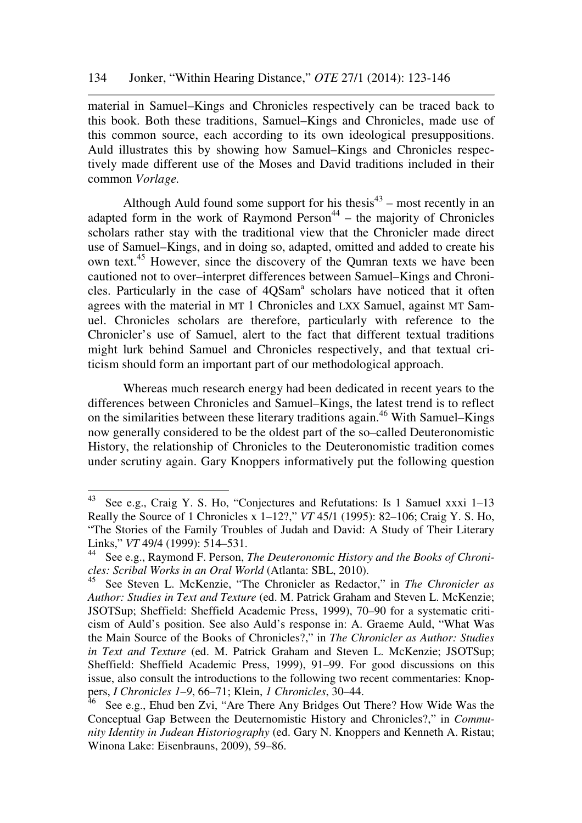material in Samuel–Kings and Chronicles respectively can be traced back to this book. Both these traditions, Samuel–Kings and Chronicles, made use of this common source, each according to its own ideological presuppositions. Auld illustrates this by showing how Samuel–Kings and Chronicles respectively made different use of the Moses and David traditions included in their common *Vorlage.*

Although Auld found some support for his thesis<sup>43</sup> – most recently in an adapted form in the work of Raymond Person $44$  – the majority of Chronicles scholars rather stay with the traditional view that the Chronicler made direct use of Samuel–Kings, and in doing so, adapted, omitted and added to create his own text.<sup>45</sup> However, since the discovery of the Qumran texts we have been cautioned not to over–interpret differences between Samuel–Kings and Chronicles. Particularly in the case of 4QSam<sup>a</sup> scholars have noticed that it often agrees with the material in MT 1 Chronicles and LXX Samuel, against MT Samuel. Chronicles scholars are therefore, particularly with reference to the Chronicler's use of Samuel, alert to the fact that different textual traditions might lurk behind Samuel and Chronicles respectively, and that textual criticism should form an important part of our methodological approach.

Whereas much research energy had been dedicated in recent years to the differences between Chronicles and Samuel–Kings, the latest trend is to reflect on the similarities between these literary traditions again.<sup>46</sup> With Samuel–Kings now generally considered to be the oldest part of the so–called Deuteronomistic History, the relationship of Chronicles to the Deuteronomistic tradition comes under scrutiny again. Gary Knoppers informatively put the following question

<sup>43</sup> See e.g., Craig Y. S. Ho, "Conjectures and Refutations: Is 1 Samuel xxxi 1–13 Really the Source of 1 Chronicles x 1–12?," *VT* 45/1 (1995): 82–106; Craig Y. S. Ho, "The Stories of the Family Troubles of Judah and David: A Study of Their Literary Links," *VT* 49/4 (1999): 514–531.

<sup>44</sup> See e.g., Raymond F. Person, *The Deuteronomic History and the Books of Chronicles: Scribal Works in an Oral World* (Atlanta: SBL, 2010).

<sup>45</sup> See Steven L. McKenzie, "The Chronicler as Redactor," in *The Chronicler as Author: Studies in Text and Texture* (ed. M. Patrick Graham and Steven L. McKenzie; JSOTSup; Sheffield: Sheffield Academic Press, 1999), 70–90 for a systematic criticism of Auld's position. See also Auld's response in: A. Graeme Auld, "What Was the Main Source of the Books of Chronicles?," in *The Chronicler as Author: Studies in Text and Texture* (ed. M. Patrick Graham and Steven L. McKenzie; JSOTSup; Sheffield: Sheffield Academic Press, 1999), 91–99. For good discussions on this issue, also consult the introductions to the following two recent commentaries: Knoppers, *I Chronicles 1–9*, 66–71; Klein, *1 Chronicles*, 30–44.

 $46$  See e.g., Ehud ben Zvi, "Are There Any Bridges Out There? How Wide Was the Conceptual Gap Between the Deuternomistic History and Chronicles?," in *Community Identity in Judean Historiography* (ed. Gary N. Knoppers and Kenneth A. Ristau; Winona Lake: Eisenbrauns, 2009), 59–86.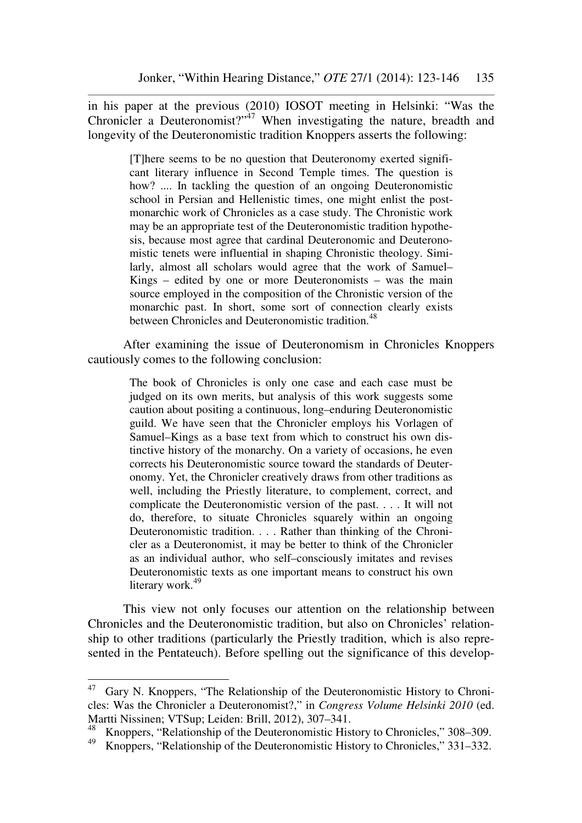in his paper at the previous (2010) IOSOT meeting in Helsinki: "Was the Chronicler a Deuteronomist?"<sup>47</sup> When investigating the nature, breadth and longevity of the Deuteronomistic tradition Knoppers asserts the following:

> [T]here seems to be no question that Deuteronomy exerted significant literary influence in Second Temple times. The question is how? .... In tackling the question of an ongoing Deuteronomistic school in Persian and Hellenistic times, one might enlist the postmonarchic work of Chronicles as a case study. The Chronistic work may be an appropriate test of the Deuteronomistic tradition hypothesis, because most agree that cardinal Deuteronomic and Deuteronomistic tenets were influential in shaping Chronistic theology. Similarly, almost all scholars would agree that the work of Samuel– Kings – edited by one or more Deuteronomists – was the main source employed in the composition of the Chronistic version of the monarchic past. In short, some sort of connection clearly exists between Chronicles and Deuteronomistic tradition.<sup>48</sup>

After examining the issue of Deuteronomism in Chronicles Knoppers cautiously comes to the following conclusion:

> The book of Chronicles is only one case and each case must be judged on its own merits, but analysis of this work suggests some caution about positing a continuous, long–enduring Deuteronomistic guild. We have seen that the Chronicler employs his Vorlagen of Samuel–Kings as a base text from which to construct his own distinctive history of the monarchy. On a variety of occasions, he even corrects his Deuteronomistic source toward the standards of Deuteronomy. Yet, the Chronicler creatively draws from other traditions as well, including the Priestly literature, to complement, correct, and complicate the Deuteronomistic version of the past. . . . It will not do, therefore, to situate Chronicles squarely within an ongoing Deuteronomistic tradition. . . . Rather than thinking of the Chronicler as a Deuteronomist, it may be better to think of the Chronicler as an individual author, who self–consciously imitates and revises Deuteronomistic texts as one important means to construct his own literary work.<sup>49</sup>

This view not only focuses our attention on the relationship between Chronicles and the Deuteronomistic tradition, but also on Chronicles' relationship to other traditions (particularly the Priestly tradition, which is also represented in the Pentateuch). Before spelling out the significance of this develop-

<sup>&</sup>lt;sup>47</sup> Gary N. Knoppers, "The Relationship of the Deuteronomistic History to Chronicles: Was the Chronicler a Deuteronomist?," in *Congress Volume Helsinki 2010* (ed. Martti Nissinen; VTSup; Leiden: Brill, 2012), 307–341.

<sup>&</sup>lt;sup>48</sup> Knoppers, "Relationship of the Deuteronomistic History to Chronicles," 308–309.<br><sup>49</sup> Knoppers, "Relationship of the Deuteronomistic History to Chronicles," 331–332

<sup>49</sup> Knoppers, "Relationship of the Deuteronomistic History to Chronicles," 331–332.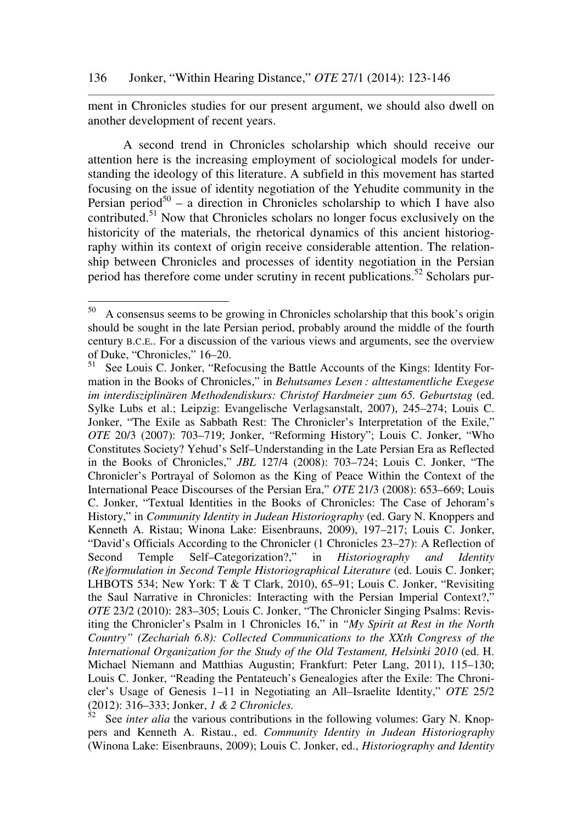ment in Chronicles studies for our present argument, we should also dwell on another development of recent years.

A second trend in Chronicles scholarship which should receive our attention here is the increasing employment of sociological models for understanding the ideology of this literature. A subfield in this movement has started focusing on the issue of identity negotiation of the Yehudite community in the Persian period<sup>50</sup> – a direction in Chronicles scholarship to which I have also contributed.<sup>51</sup> Now that Chronicles scholars no longer focus exclusively on the historicity of the materials, the rhetorical dynamics of this ancient historiography within its context of origin receive considerable attention. The relationship between Chronicles and processes of identity negotiation in the Persian period has therefore come under scrutiny in recent publications.<sup>52</sup> Scholars pur-

 $50\,$ <sup>50</sup> A consensus seems to be growing in Chronicles scholarship that this book's origin should be sought in the late Persian period, probably around the middle of the fourth century B.C.E.. For a discussion of the various views and arguments, see the overview of Duke, "Chronicles,"  $16-20$ .<br> $^{51}$  See Louis C, Jonker "Refer

See Louis C. Jonker, "Refocusing the Battle Accounts of the Kings: Identity Formation in the Books of Chronicles," in *Behutsames Lesen : alttestamentliche Exegese im interdisziplinären Methodendiskurs: Christof Hardmeier zum 65. Geburtstag* (ed. Sylke Lubs et al.; Leipzig: Evangelische Verlagsanstalt, 2007), 245–274; Louis C. Jonker, "The Exile as Sabbath Rest: The Chronicler's Interpretation of the Exile," *OTE* 20/3 (2007): 703–719; Jonker, "Reforming History"; Louis C. Jonker, "Who Constitutes Society? Yehud's Self–Understanding in the Late Persian Era as Reflected in the Books of Chronicles," *JBL* 127/4 (2008): 703–724; Louis C. Jonker, "The Chronicler's Portrayal of Solomon as the King of Peace Within the Context of the International Peace Discourses of the Persian Era," *OTE* 21/3 (2008): 653–669; Louis C. Jonker, "Textual Identities in the Books of Chronicles: The Case of Jehoram's History," in *Community Identity in Judean Historiography* (ed. Gary N. Knoppers and Kenneth A. Ristau; Winona Lake: Eisenbrauns, 2009), 197–217; Louis C. Jonker, "David's Officials According to the Chronicler (1 Chronicles 23–27): A Reflection of Second Temple Self–Categorization?," in *Historiography and Identity (Re)formulation in Second Temple Historiographical Literature* (ed. Louis C. Jonker; LHBOTS 534; New York: T & T Clark, 2010), 65–91; Louis C. Jonker, "Revisiting the Saul Narrative in Chronicles: Interacting with the Persian Imperial Context?," *OTE* 23/2 (2010): 283–305; Louis C. Jonker, "The Chronicler Singing Psalms: Revisiting the Chronicler's Psalm in 1 Chronicles 16," in *"My Spirit at Rest in the North Country" (Zechariah 6.8): Collected Communications to the XXth Congress of the International Organization for the Study of the Old Testament, Helsinki 2010* (ed. H. Michael Niemann and Matthias Augustin; Frankfurt: Peter Lang, 2011), 115–130; Louis C. Jonker, "Reading the Pentateuch's Genealogies after the Exile: The Chronicler's Usage of Genesis 1–11 in Negotiating an All–Israelite Identity," *OTE* 25/2 (2012): 316–333; Jonker, *1 & 2 Chronicles.*

See *inter alia* the various contributions in the following volumes: Gary N. Knoppers and Kenneth A. Ristau., ed. *Community Identity in Judean Historiography* (Winona Lake: Eisenbrauns, 2009); Louis C. Jonker, ed., *Historiography and Identity*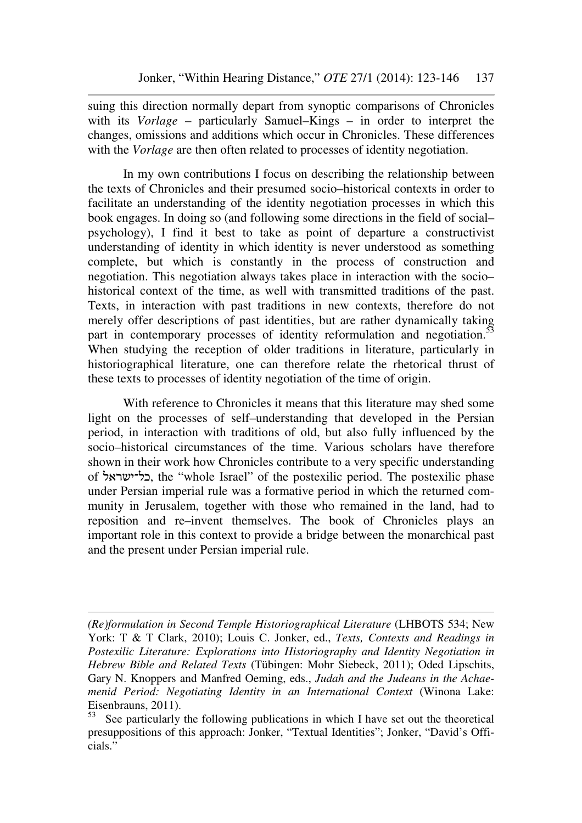suing this direction normally depart from synoptic comparisons of Chronicles with its *Vorlage* – particularly Samuel–Kings – in order to interpret the changes, omissions and additions which occur in Chronicles. These differences with the *Vorlage* are then often related to processes of identity negotiation.

In my own contributions I focus on describing the relationship between the texts of Chronicles and their presumed socio–historical contexts in order to facilitate an understanding of the identity negotiation processes in which this book engages. In doing so (and following some directions in the field of social– psychology), I find it best to take as point of departure a constructivist understanding of identity in which identity is never understood as something complete, but which is constantly in the process of construction and negotiation. This negotiation always takes place in interaction with the socio– historical context of the time, as well with transmitted traditions of the past. Texts, in interaction with past traditions in new contexts, therefore do not merely offer descriptions of past identities, but are rather dynamically taking part in contemporary processes of identity reformulation and negotiation.<sup>53</sup> When studying the reception of older traditions in literature, particularly in historiographical literature, one can therefore relate the rhetorical thrust of these texts to processes of identity negotiation of the time of origin.

With reference to Chronicles it means that this literature may shed some light on the processes of self–understanding that developed in the Persian period, in interaction with traditions of old, but also fully influenced by the socio–historical circumstances of the time. Various scholars have therefore shown in their work how Chronicles contribute to a very specific understanding of כל־ישראל, the "whole Israel" of the postexilic period. The postexilic phase under Persian imperial rule was a formative period in which the returned community in Jerusalem, together with those who remained in the land, had to reposition and re–invent themselves. The book of Chronicles plays an important role in this context to provide a bridge between the monarchical past and the present under Persian imperial rule.

*<sup>(</sup>Re)formulation in Second Temple Historiographical Literature* (LHBOTS 534; New York: T & T Clark, 2010); Louis C. Jonker, ed., *Texts, Contexts and Readings in Postexilic Literature: Explorations into Historiography and Identity Negotiation in Hebrew Bible and Related Texts* (Tübingen: Mohr Siebeck, 2011); Oded Lipschits, Gary N. Knoppers and Manfred Oeming, eds., *Judah and the Judeans in the Achaemenid Period: Negotiating Identity in an International Context* (Winona Lake: Eisenbrauns, 2011).<br> $53$  See particularly

See particularly the following publications in which I have set out the theoretical presuppositions of this approach: Jonker, "Textual Identities"; Jonker, "David's Officials."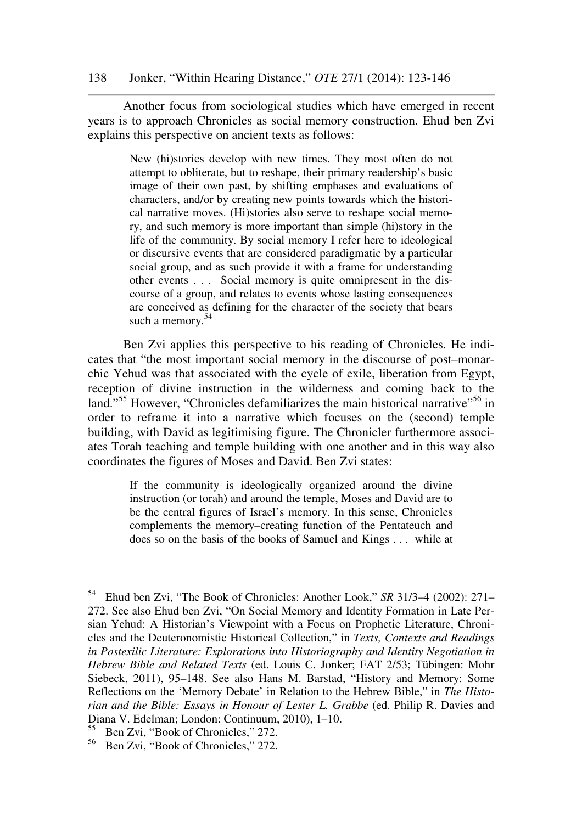Another focus from sociological studies which have emerged in recent years is to approach Chronicles as social memory construction. Ehud ben Zvi explains this perspective on ancient texts as follows:

> New (hi)stories develop with new times. They most often do not attempt to obliterate, but to reshape, their primary readership's basic image of their own past, by shifting emphases and evaluations of characters, and/or by creating new points towards which the historical narrative moves. (Hi)stories also serve to reshape social memory, and such memory is more important than simple (hi)story in the life of the community. By social memory I refer here to ideological or discursive events that are considered paradigmatic by a particular social group, and as such provide it with a frame for understanding other events . . . Social memory is quite omnipresent in the discourse of a group, and relates to events whose lasting consequences are conceived as defining for the character of the society that bears such a memory.<sup>54</sup>

Ben Zvi applies this perspective to his reading of Chronicles. He indicates that "the most important social memory in the discourse of post–monarchic Yehud was that associated with the cycle of exile, liberation from Egypt, reception of divine instruction in the wilderness and coming back to the land."<sup>55</sup> However, "Chronicles defamiliarizes the main historical narrative"<sup>56</sup> in order to reframe it into a narrative which focuses on the (second) temple building, with David as legitimising figure. The Chronicler furthermore associates Torah teaching and temple building with one another and in this way also coordinates the figures of Moses and David. Ben Zvi states:

> If the community is ideologically organized around the divine instruction (or torah) and around the temple, Moses and David are to be the central figures of Israel's memory. In this sense, Chronicles complements the memory–creating function of the Pentateuch and does so on the basis of the books of Samuel and Kings . . . while at

<sup>54</sup> <sup>54</sup> Ehud ben Zvi, "The Book of Chronicles: Another Look," *SR* 31/3–4 (2002): 271– 272. See also Ehud ben Zvi, "On Social Memory and Identity Formation in Late Persian Yehud: A Historian's Viewpoint with a Focus on Prophetic Literature, Chronicles and the Deuteronomistic Historical Collection," in *Texts, Contexts and Readings in Postexilic Literature: Explorations into Historiography and Identity Negotiation in Hebrew Bible and Related Texts* (ed. Louis C. Jonker; FAT 2/53; Tübingen: Mohr Siebeck, 2011), 95–148. See also Hans M. Barstad, "History and Memory: Some Reflections on the 'Memory Debate' in Relation to the Hebrew Bible," in *The Historian and the Bible: Essays in Honour of Lester L. Grabbe* (ed. Philip R. Davies and Diana V. Edelman; London: Continuum, 2010), 1–10.

<sup>55</sup> Ben Zvi, "Book of Chronicles," 272.

<sup>56</sup> Ben Zvi, "Book of Chronicles," 272.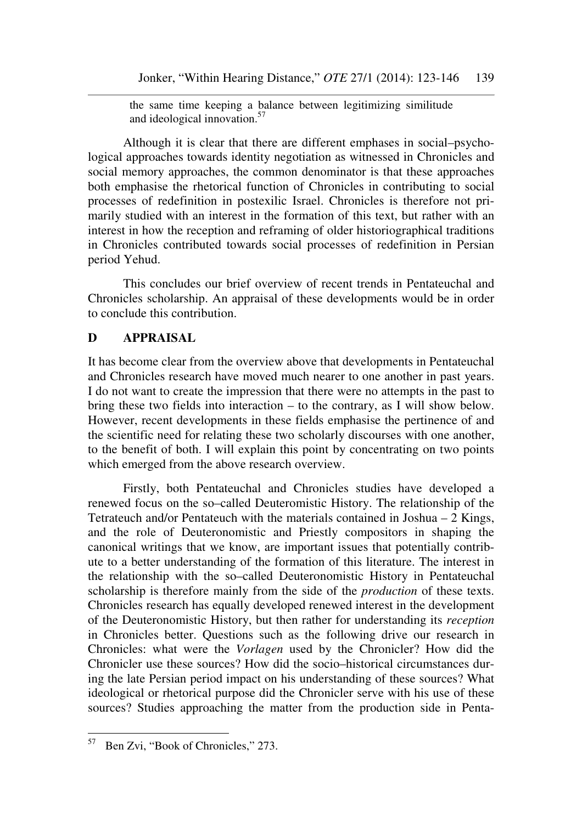the same time keeping a balance between legitimizing similitude and ideological innovation.<sup>57</sup>

Although it is clear that there are different emphases in social–psychological approaches towards identity negotiation as witnessed in Chronicles and social memory approaches, the common denominator is that these approaches both emphasise the rhetorical function of Chronicles in contributing to social processes of redefinition in postexilic Israel. Chronicles is therefore not primarily studied with an interest in the formation of this text, but rather with an interest in how the reception and reframing of older historiographical traditions in Chronicles contributed towards social processes of redefinition in Persian period Yehud.

This concludes our brief overview of recent trends in Pentateuchal and Chronicles scholarship. An appraisal of these developments would be in order to conclude this contribution.

## **D APPRAISAL**

It has become clear from the overview above that developments in Pentateuchal and Chronicles research have moved much nearer to one another in past years. I do not want to create the impression that there were no attempts in the past to bring these two fields into interaction – to the contrary, as I will show below. However, recent developments in these fields emphasise the pertinence of and the scientific need for relating these two scholarly discourses with one another, to the benefit of both. I will explain this point by concentrating on two points which emerged from the above research overview.

Firstly, both Pentateuchal and Chronicles studies have developed a renewed focus on the so–called Deuteromistic History. The relationship of the Tetrateuch and/or Pentateuch with the materials contained in Joshua – 2 Kings, and the role of Deuteronomistic and Priestly compositors in shaping the canonical writings that we know, are important issues that potentially contribute to a better understanding of the formation of this literature. The interest in the relationship with the so–called Deuteronomistic History in Pentateuchal scholarship is therefore mainly from the side of the *production* of these texts. Chronicles research has equally developed renewed interest in the development of the Deuteronomistic History, but then rather for understanding its *reception* in Chronicles better. Questions such as the following drive our research in Chronicles: what were the *Vorlagen* used by the Chronicler? How did the Chronicler use these sources? How did the socio–historical circumstances during the late Persian period impact on his understanding of these sources? What ideological or rhetorical purpose did the Chronicler serve with his use of these sources? Studies approaching the matter from the production side in Penta-

<sup>57</sup> Ben Zvi, "Book of Chronicles," 273.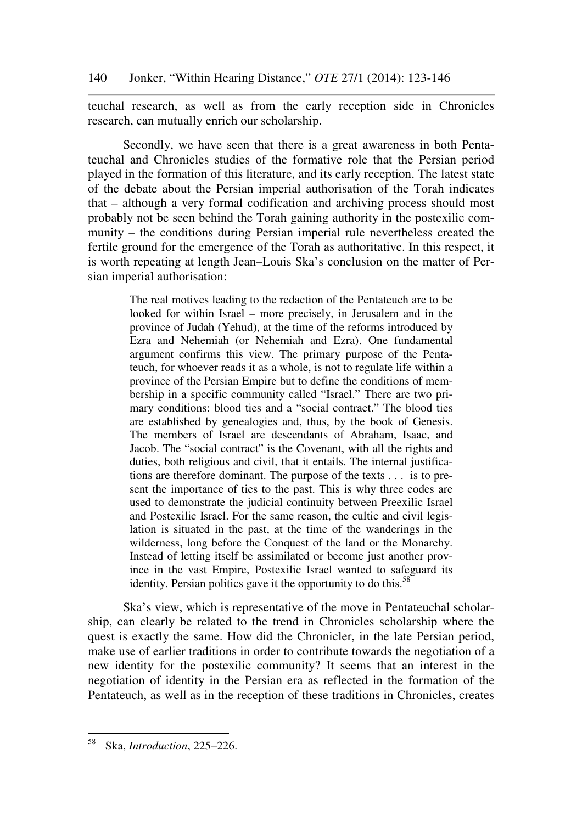teuchal research, as well as from the early reception side in Chronicles research, can mutually enrich our scholarship.

Secondly, we have seen that there is a great awareness in both Pentateuchal and Chronicles studies of the formative role that the Persian period played in the formation of this literature, and its early reception. The latest state of the debate about the Persian imperial authorisation of the Torah indicates that – although a very formal codification and archiving process should most probably not be seen behind the Torah gaining authority in the postexilic community – the conditions during Persian imperial rule nevertheless created the fertile ground for the emergence of the Torah as authoritative. In this respect, it is worth repeating at length Jean–Louis Ska's conclusion on the matter of Persian imperial authorisation:

> The real motives leading to the redaction of the Pentateuch are to be looked for within Israel – more precisely, in Jerusalem and in the province of Judah (Yehud), at the time of the reforms introduced by Ezra and Nehemiah (or Nehemiah and Ezra). One fundamental argument confirms this view. The primary purpose of the Pentateuch, for whoever reads it as a whole, is not to regulate life within a province of the Persian Empire but to define the conditions of membership in a specific community called "Israel." There are two primary conditions: blood ties and a "social contract." The blood ties are established by genealogies and, thus, by the book of Genesis. The members of Israel are descendants of Abraham, Isaac, and Jacob. The "social contract" is the Covenant, with all the rights and duties, both religious and civil, that it entails. The internal justifications are therefore dominant. The purpose of the texts . . . is to present the importance of ties to the past. This is why three codes are used to demonstrate the judicial continuity between Preexilic Israel and Postexilic Israel. For the same reason, the cultic and civil legislation is situated in the past, at the time of the wanderings in the wilderness, long before the Conquest of the land or the Monarchy. Instead of letting itself be assimilated or become just another province in the vast Empire, Postexilic Israel wanted to safeguard its identity. Persian politics gave it the opportunity to do this.<sup>58</sup>

Ska's view, which is representative of the move in Pentateuchal scholarship, can clearly be related to the trend in Chronicles scholarship where the quest is exactly the same. How did the Chronicler, in the late Persian period, make use of earlier traditions in order to contribute towards the negotiation of a new identity for the postexilic community? It seems that an interest in the negotiation of identity in the Persian era as reflected in the formation of the Pentateuch, as well as in the reception of these traditions in Chronicles, creates

 $58\,$ <sup>58</sup> Ska, *Introduction*, 225–226.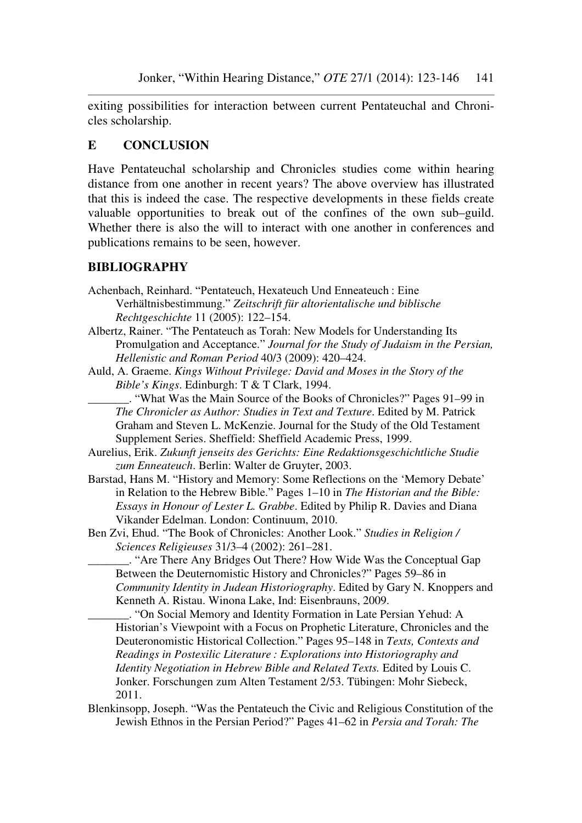exiting possibilities for interaction between current Pentateuchal and Chronicles scholarship.

# **E CONCLUSION**

Have Pentateuchal scholarship and Chronicles studies come within hearing distance from one another in recent years? The above overview has illustrated that this is indeed the case. The respective developments in these fields create valuable opportunities to break out of the confines of the own sub–guild. Whether there is also the will to interact with one another in conferences and publications remains to be seen, however.

## **BIBLIOGRAPHY**

- Achenbach, Reinhard. "Pentateuch, Hexateuch Und Enneateuch : Eine Verhältnisbestimmung." *Zeitschrift für altorientalische und biblische Rechtgeschichte* 11 (2005): 122–154.
- Albertz, Rainer. "The Pentateuch as Torah: New Models for Understanding Its Promulgation and Acceptance." *Journal for the Study of Judaism in the Persian, Hellenistic and Roman Period* 40/3 (2009): 420–424.
- Auld, A. Graeme. *Kings Without Privilege: David and Moses in the Story of the Bible's Kings*. Edinburgh: T & T Clark, 1994.

\_\_\_\_\_\_\_. "What Was the Main Source of the Books of Chronicles?" Pages 91–99 in *The Chronicler as Author: Studies in Text and Texture*. Edited by M. Patrick Graham and Steven L. McKenzie. Journal for the Study of the Old Testament Supplement Series. Sheffield: Sheffield Academic Press, 1999.

- Aurelius, Erik. *Zukunft jenseits des Gerichts: Eine Redaktionsgeschichtliche Studie zum Enneateuch*. Berlin: Walter de Gruyter, 2003.
- Barstad, Hans M. "History and Memory: Some Reflections on the 'Memory Debate' in Relation to the Hebrew Bible." Pages 1–10 in *The Historian and the Bible: Essays in Honour of Lester L. Grabbe*. Edited by Philip R. Davies and Diana Vikander Edelman. London: Continuum, 2010.
- Ben Zvi, Ehud. "The Book of Chronicles: Another Look." *Studies in Religion / Sciences Religieuses* 31/3–4 (2002): 261–281.

\_\_\_\_\_\_\_. "Are There Any Bridges Out There? How Wide Was the Conceptual Gap Between the Deuternomistic History and Chronicles?" Pages 59–86 in *Community Identity in Judean Historiography*. Edited by Gary N. Knoppers and Kenneth A. Ristau. Winona Lake, Ind: Eisenbrauns, 2009.

\_\_\_\_\_\_\_. "On Social Memory and Identity Formation in Late Persian Yehud: A Historian's Viewpoint with a Focus on Prophetic Literature, Chronicles and the Deuteronomistic Historical Collection." Pages 95–148 in *Texts, Contexts and Readings in Postexilic Literature : Explorations into Historiography and Identity Negotiation in Hebrew Bible and Related Texts.* Edited by Louis C. Jonker. Forschungen zum Alten Testament 2/53. Tübingen: Mohr Siebeck, 2011.

Blenkinsopp, Joseph. "Was the Pentateuch the Civic and Religious Constitution of the Jewish Ethnos in the Persian Period?" Pages 41–62 in *Persia and Torah: The*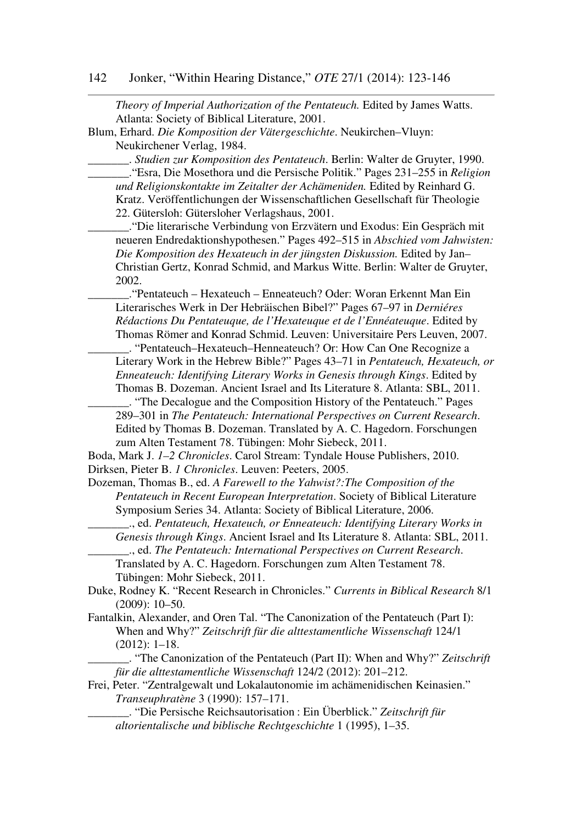*Theory of Imperial Authorization of the Pentateuch.* Edited by James Watts. Atlanta: Society of Biblical Literature, 2001.

Blum, Erhard. *Die Komposition der Vätergeschichte*. Neukirchen–Vluyn: Neukirchener Verlag, 1984.

\_\_\_\_\_\_\_. *Studien zur Komposition des Pentateuch*. Berlin: Walter de Gruyter, 1990. \_\_\_\_\_\_\_."Esra, Die Mosethora und die Persische Politik." Pages 231–255 in *Religion und Religionskontakte im Zeitalter der Achämeniden.* Edited by Reinhard G. Kratz. Veröffentlichungen der Wissenschaftlichen Gesellschaft für Theologie 22. Gütersloh: Gütersloher Verlagshaus, 2001.

\_\_\_\_\_\_\_."Die literarische Verbindung von Erzvätern und Exodus: Ein Gespräch mit neueren Endredaktionshypothesen." Pages 492–515 in *Abschied vom Jahwisten: Die Komposition des Hexateuch in der jüngsten Diskussion.* Edited by Jan– Christian Gertz, Konrad Schmid, and Markus Witte. Berlin: Walter de Gruyter, 2002.

\_\_\_\_\_\_\_."Pentateuch – Hexateuch – Enneateuch? Oder: Woran Erkennt Man Ein Literarisches Werk in Der Hebräischen Bibel?" Pages 67–97 in *Derniéres Rédactions Du Pentateuque, de l'Hexateuque et de l'Ennéateuque*. Edited by Thomas Römer and Konrad Schmid. Leuven: Universitaire Pers Leuven, 2007.

\_\_\_\_\_\_\_. "Pentateuch–Hexateuch–Henneateuch? Or: How Can One Recognize a Literary Work in the Hebrew Bible?" Pages 43–71 in *Pentateuch, Hexateuch, or Enneateuch: Identifying Literary Works in Genesis through Kings*. Edited by Thomas B. Dozeman. Ancient Israel and Its Literature 8. Atlanta: SBL, 2011.

\_\_\_\_\_\_\_. "The Decalogue and the Composition History of the Pentateuch." Pages 289–301 in *The Pentateuch: International Perspectives on Current Research*. Edited by Thomas B. Dozeman. Translated by A. C. Hagedorn. Forschungen zum Alten Testament 78. Tübingen: Mohr Siebeck, 2011.

Boda, Mark J. *1–2 Chronicles*. Carol Stream: Tyndale House Publishers, 2010. Dirksen, Pieter B. *1 Chronicles*. Leuven: Peeters, 2005.

Dozeman, Thomas B., ed. *A Farewell to the Yahwist?:The Composition of the Pentateuch in Recent European Interpretation*. Society of Biblical Literature Symposium Series 34. Atlanta: Society of Biblical Literature, 2006.

\_\_\_\_\_\_\_., ed. *Pentateuch, Hexateuch, or Enneateuch: Identifying Literary Works in Genesis through Kings*. Ancient Israel and Its Literature 8. Atlanta: SBL, 2011. \_\_\_\_\_\_\_., ed. *The Pentateuch: International Perspectives on Current Research*.

Translated by A. C. Hagedorn. Forschungen zum Alten Testament 78. Tübingen: Mohr Siebeck, 2011.

Duke, Rodney K. "Recent Research in Chronicles." *Currents in Biblical Research* 8/1 (2009): 10–50.

Fantalkin, Alexander, and Oren Tal. "The Canonization of the Pentateuch (Part I): When and Why?" *Zeitschrift für die alttestamentliche Wissenschaft* 124/1 (2012): 1–18.

\_\_\_\_\_\_\_. "The Canonization of the Pentateuch (Part II): When and Why?" *Zeitschrift für die alttestamentliche Wissenschaft* 124/2 (2012): 201–212.

Frei, Peter. "Zentralgewalt und Lokalautonomie im achämenidischen Keinasien." *Transeuphratène* 3 (1990): 157–171.

\_\_\_\_\_\_\_. "Die Persische Reichsautorisation : Ein Überblick." *Zeitschrift für altorientalische und biblische Rechtgeschichte* 1 (1995), 1–35.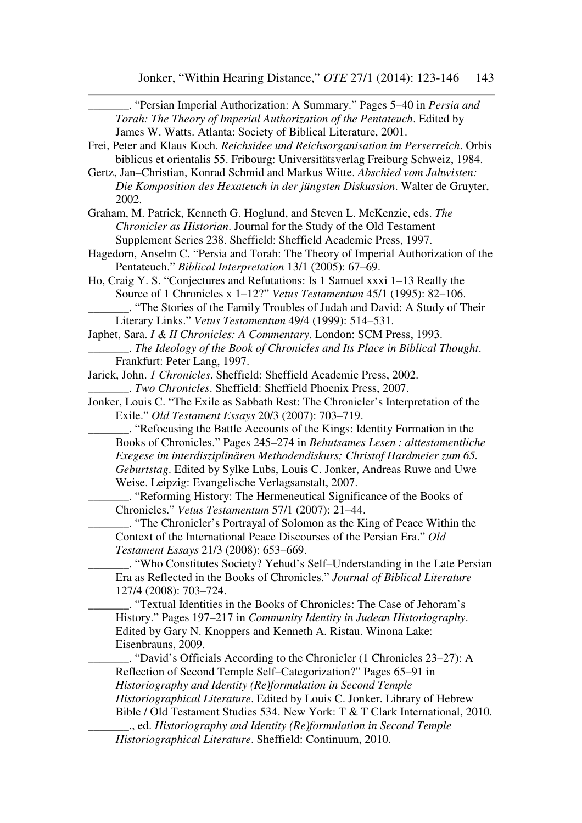| "Persian Imperial Authorization: A Summary." Pages 5–40 in Persia and<br>Torah: The Theory of Imperial Authorization of the Pentateuch. Edited by<br>James W. Watts. Atlanta: Society of Biblical Literature, 2001. |
|---------------------------------------------------------------------------------------------------------------------------------------------------------------------------------------------------------------------|
| Frei, Peter and Klaus Koch. Reichsidee und Reichsorganisation im Perserreich. Orbis                                                                                                                                 |
| biblicus et orientalis 55. Fribourg: Universitätsverlag Freiburg Schweiz, 1984.                                                                                                                                     |
| Gertz, Jan-Christian, Konrad Schmid and Markus Witte. Abschied vom Jahwisten:                                                                                                                                       |
|                                                                                                                                                                                                                     |
| Die Komposition des Hexateuch in der jüngsten Diskussion. Walter de Gruyter,<br>2002.                                                                                                                               |
| Graham, M. Patrick, Kenneth G. Hoglund, and Steven L. McKenzie, eds. The                                                                                                                                            |
| Chronicler as Historian. Journal for the Study of the Old Testament                                                                                                                                                 |
| Supplement Series 238. Sheffield: Sheffield Academic Press, 1997.                                                                                                                                                   |
| Hagedorn, Anselm C. "Persia and Torah: The Theory of Imperial Authorization of the                                                                                                                                  |
| Pentateuch." Biblical Interpretation 13/1 (2005): 67-69.                                                                                                                                                            |
| Ho, Craig Y. S. "Conjectures and Refutations: Is 1 Samuel xxxi 1–13 Really the                                                                                                                                      |
| Source of 1 Chronicles x 1-12?" Vetus Testamentum 45/1 (1995): 82-106.                                                                                                                                              |
| . "The Stories of the Family Troubles of Judah and David: A Study of Their<br>Literary Links." Vetus Testamentum 49/4 (1999): 514-531.                                                                              |
| Japhet, Sara. I & II Chronicles: A Commentary. London: SCM Press, 1993.                                                                                                                                             |
| . The Ideology of the Book of Chronicles and Its Place in Biblical Thought.                                                                                                                                         |
| Frankfurt: Peter Lang, 1997.                                                                                                                                                                                        |
| Jarick, John. 1 Chronicles. Sheffield: Sheffield Academic Press, 2002.                                                                                                                                              |
| . Two Chronicles. Sheffield: Sheffield Phoenix Press, 2007.                                                                                                                                                         |
| Jonker, Louis C. "The Exile as Sabbath Rest: The Chronicler's Interpretation of the                                                                                                                                 |
| Exile." Old Testament Essays 20/3 (2007): 703-719.                                                                                                                                                                  |
| "Refocusing the Battle Accounts of the Kings: Identity Formation in the                                                                                                                                             |
| Books of Chronicles." Pages 245–274 in Behutsames Lesen : alttestamentliche                                                                                                                                         |
| Exegese im interdisziplinären Methodendiskurs; Christof Hardmeier zum 65.                                                                                                                                           |
| Geburtstag. Edited by Sylke Lubs, Louis C. Jonker, Andreas Ruwe and Uwe                                                                                                                                             |
| Weise. Leipzig: Evangelische Verlagsanstalt, 2007.                                                                                                                                                                  |
| . "Reforming History: The Hermeneutical Significance of the Books of                                                                                                                                                |
| Chronicles." Vetus Testamentum 57/1 (2007): 21-44.                                                                                                                                                                  |
| . "The Chronicler's Portrayal of Solomon as the King of Peace Within the                                                                                                                                            |
| Context of the International Peace Discourses of the Persian Era." Old                                                                                                                                              |
| Testament Essays 21/3 (2008): 653-669.                                                                                                                                                                              |
| "Who Constitutes Society? Yehud's Self-Understanding in the Late Persian                                                                                                                                            |
| Era as Reflected in the Books of Chronicles." Journal of Biblical Literature                                                                                                                                        |
| 127/4 (2008): 703-724.                                                                                                                                                                                              |
| "Textual Identities in the Books of Chronicles: The Case of Jehoram's                                                                                                                                               |
| History." Pages 197-217 in Community Identity in Judean Historiography.                                                                                                                                             |
| Edited by Gary N. Knoppers and Kenneth A. Ristau. Winona Lake:                                                                                                                                                      |
| Eisenbrauns, 2009.                                                                                                                                                                                                  |
| . "David's Officials According to the Chronicler (1 Chronicles 23–27): A                                                                                                                                            |
| Reflection of Second Temple Self-Categorization?" Pages 65-91 in                                                                                                                                                    |
| Historiography and Identity (Re)formulation in Second Temple                                                                                                                                                        |
| Historiographical Literature. Edited by Louis C. Jonker. Library of Hebrew                                                                                                                                          |
| Bible / Old Testament Studies 534. New York: T & T Clark International, 2010.                                                                                                                                       |
|                                                                                                                                                                                                                     |
| ., ed. Historiography and Identity (Re)formulation in Second Temple                                                                                                                                                 |
| Historiographical Literature. Sheffield: Continuum, 2010.                                                                                                                                                           |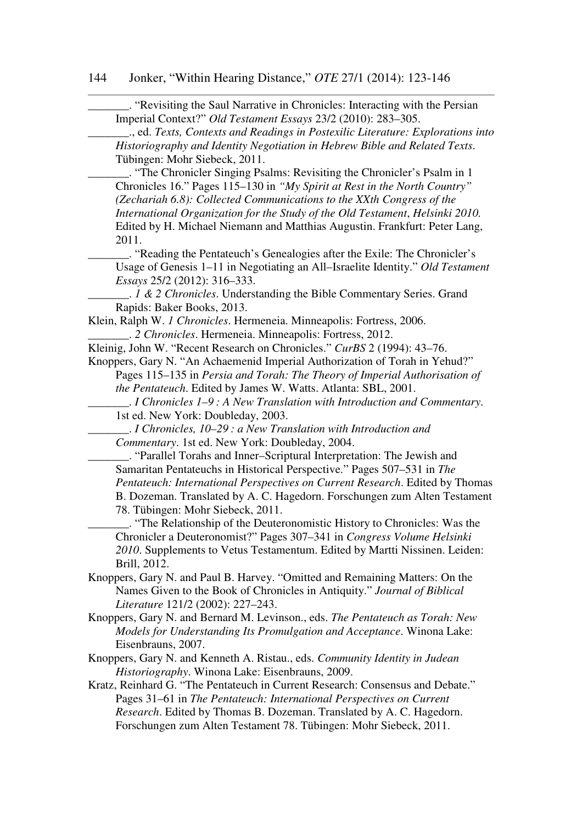| . "Revisiting the Saul Narrative in Chronicles: Interacting with the Persian<br>Imperial Context?" Old Testament Essays 23/2 (2010): 283-305.                                                                                     |
|-----------------------------------------------------------------------------------------------------------------------------------------------------------------------------------------------------------------------------------|
| ., ed. Texts, Contexts and Readings in Postexilic Literature: Explorations into<br>Historiography and Identity Negotiation in Hebrew Bible and Related Texts.                                                                     |
| Tübingen: Mohr Siebeck, 2011.<br>. "The Chronicler Singing Psalms: Revisiting the Chronicler's Psalm in 1                                                                                                                         |
| Chronicles 16." Pages 115-130 in "My Spirit at Rest in the North Country"<br>(Zechariah 6.8): Collected Communications to the XXth Congress of the                                                                                |
| International Organization for the Study of the Old Testament, Helsinki 2010.<br>Edited by H. Michael Niemann and Matthias Augustin. Frankfurt: Peter Lang,<br>2011.                                                              |
|                                                                                                                                                                                                                                   |
| Usage of Genesis 1-11 in Negotiating an All-Israelite Identity." Old Testament<br>Essays 25/2 (2012): 316–333.                                                                                                                    |
| 1 & 2 Chronicles. Understanding the Bible Commentary Series. Grand                                                                                                                                                                |
| Rapids: Baker Books, 2013.                                                                                                                                                                                                        |
| Klein, Ralph W. 1 Chronicles. Hermeneia. Minneapolis: Fortress, 2006.<br>. 2 Chronicles. Hermeneia. Minneapolis: Fortress, 2012.                                                                                                  |
| Kleinig, John W. "Recent Research on Chronicles." CurBS 2 (1994): 43-76.                                                                                                                                                          |
| Knoppers, Gary N. "An Achaemenid Imperial Authorization of Torah in Yehud?"                                                                                                                                                       |
| Pages 115–135 in Persia and Torah: The Theory of Imperial Authorisation of                                                                                                                                                        |
| the Pentateuch. Edited by James W. Watts. Atlanta: SBL, 2001.                                                                                                                                                                     |
| $\therefore$ I Chronicles 1–9: A New Translation with Introduction and Commentary.                                                                                                                                                |
| 1st ed. New York: Doubleday, 2003.                                                                                                                                                                                                |
| $\therefore$ I Chronicles, 10–29 : a New Translation with Introduction and<br>Commentary. 1st ed. New York: Doubleday, 2004.                                                                                                      |
| . "Parallel Torahs and Inner-Scriptural Interpretation: The Jewish and                                                                                                                                                            |
| Samaritan Pentateuchs in Historical Perspective." Pages 507-531 in The                                                                                                                                                            |
| Pentateuch: International Perspectives on Current Research. Edited by Thomas<br>B. Dozeman. Translated by A. C. Hagedorn. Forschungen zum Alten Testament                                                                         |
| 78. Tübingen: Mohr Siebeck, 2011.                                                                                                                                                                                                 |
| . "The Relationship of the Deuteronomistic History to Chronicles: Was the<br>Chronicler a Deuteronomist?" Pages 307-341 in Congress Volume Helsinki<br>2010. Supplements to Vetus Testamentum. Edited by Martti Nissinen. Leiden: |
| Brill, 2012.                                                                                                                                                                                                                      |
| Knoppers, Gary N. and Paul B. Harvey. "Omitted and Remaining Matters: On the                                                                                                                                                      |
| Names Given to the Book of Chronicles in Antiquity." Journal of Biblical<br>Literature 121/2 (2002): 227-243.                                                                                                                     |
| Knoppers, Gary N. and Bernard M. Levinson., eds. The Pentateuch as Torah: New<br>Models for Understanding Its Promulgation and Acceptance. Winona Lake:<br>Eisenbrauns, 2007.                                                     |
| Knoppers, Gary N. and Kenneth A. Ristau., eds. Community Identity in Judean                                                                                                                                                       |
| Historiography. Winona Lake: Eisenbrauns, 2009.                                                                                                                                                                                   |
| Kratz, Reinhard G. "The Pentateuch in Current Research: Consensus and Debate."<br>Pages 31–61 in The Pentateuch: International Perspectives on Current                                                                            |
| Research. Edited by Thomas B. Dozeman. Translated by A. C. Hagedorn.                                                                                                                                                              |
| Forschungen zum Alten Testament 78. Tübingen: Mohr Siebeck, 2011.                                                                                                                                                                 |
|                                                                                                                                                                                                                                   |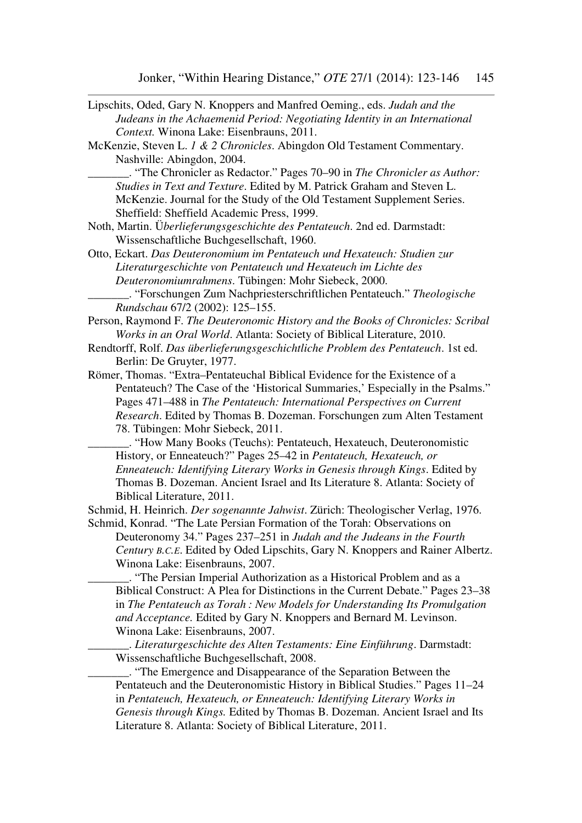| Lipschits, Oded, Gary N. Knoppers and Manfred Oeming., eds. Judah and the         |
|-----------------------------------------------------------------------------------|
| Judeans in the Achaemenid Period: Negotiating Identity in an International        |
| Context. Winona Lake: Eisenbrauns, 2011.                                          |
| McKenzie, Steven L. 1 & 2 Chronicles. Abingdon Old Testament Commentary.          |
| Nashville: Abingdon, 2004.                                                        |
| "The Chronicler as Redactor." Pages 70–90 in The Chronicler as Author:            |
| Studies in Text and Texture. Edited by M. Patrick Graham and Steven L.            |
| McKenzie. Journal for the Study of the Old Testament Supplement Series.           |
| Sheffield: Sheffield Academic Press, 1999.                                        |
| Noth, Martin. Überlieferungsgeschichte des Pentateuch. 2nd ed. Darmstadt:         |
| Wissenschaftliche Buchgesellschaft, 1960.                                         |
| Otto, Eckart. Das Deuteronomium im Pentateuch und Hexateuch: Studien zur          |
|                                                                                   |
| Literaturgeschichte von Pentateuch und Hexateuch im Lichte des                    |
| Deuteronomiumrahmens. Tübingen: Mohr Siebeck, 2000.                               |
| . "Forschungen Zum Nachpriesterschriftlichen Pentateuch." Theologische            |
| Rundschau 67/2 (2002): 125-155.                                                   |
| Person, Raymond F. The Deuteronomic History and the Books of Chronicles: Scribal  |
| Works in an Oral World. Atlanta: Society of Biblical Literature, 2010.            |
| Rendtorff, Rolf. Das überlieferungsgeschichtliche Problem des Pentateuch. 1st ed. |
| Berlin: De Gruyter, 1977.                                                         |
| Römer, Thomas. "Extra-Pentateuchal Biblical Evidence for the Existence of a       |
| Pentateuch? The Case of the 'Historical Summaries,' Especially in the Psalms."    |
| Pages 471-488 in The Pentateuch: International Perspectives on Current            |
| Research. Edited by Thomas B. Dozeman. Forschungen zum Alten Testament            |
| 78. Tübingen: Mohr Siebeck, 2011.                                                 |
| "How Many Books (Teuchs): Pentateuch, Hexateuch, Deuteronomistic                  |
| History, or Enneateuch?" Pages 25-42 in Pentateuch, Hexateuch, or                 |
| Enneateuch: Identifying Literary Works in Genesis through Kings. Edited by        |
| Thomas B. Dozeman. Ancient Israel and Its Literature 8. Atlanta: Society of       |
| Biblical Literature, 2011.                                                        |
| Schmid, H. Heinrich. Der sogenannte Jahwist. Zürich: Theologischer Verlag, 1976.  |
| Schmid, Konrad. "The Late Persian Formation of the Torah: Observations on         |
| Deuteronomy 34." Pages 237–251 in Judah and the Judeans in the Fourth             |
| Century B.C.E. Edited by Oded Lipschits, Gary N. Knoppers and Rainer Albertz.     |
| Winona Lake: Eisenbrauns, 2007.                                                   |
| . "The Persian Imperial Authorization as a Historical Problem and as a            |
| Biblical Construct: A Plea for Distinctions in the Current Debate." Pages 23–38   |
| in The Pentateuch as Torah: New Models for Understanding Its Promulgation         |
| and Acceptance. Edited by Gary N. Knoppers and Bernard M. Levinson.               |
| Winona Lake: Eisenbrauns, 2007.                                                   |
| . Literaturgeschichte des Alten Testaments: Eine Einführung. Darmstadt:           |
| Wissenschaftliche Buchgesellschaft, 2008.                                         |
|                                                                                   |

**EXECUTE:** "The Emergence and Disappearance of the Separation Between the Pentateuch and the Deuteronomistic History in Biblical Studies." Pages 11–24 in *Pentateuch, Hexateuch, or Enneateuch: Identifying Literary Works in Genesis through Kings.* Edited by Thomas B. Dozeman. Ancient Israel and Its Literature 8. Atlanta: Society of Biblical Literature, 2011.